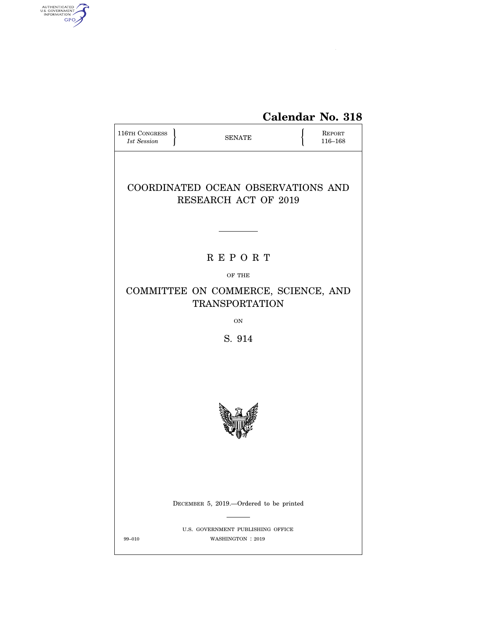

| <b>116TH CONGRESS</b><br>1st Session                              | <b>SENATE</b> |                                                        |  | <b>REPORT</b><br>116-168 |  |  |  |
|-------------------------------------------------------------------|---------------|--------------------------------------------------------|--|--------------------------|--|--|--|
| COORDINATED OCEAN OBSERVATIONS AND<br><b>RESEARCH ACT OF 2019</b> |               |                                                        |  |                          |  |  |  |
|                                                                   |               |                                                        |  |                          |  |  |  |
|                                                                   |               | <b>REPORT</b>                                          |  |                          |  |  |  |
| OF THE                                                            |               |                                                        |  |                          |  |  |  |
| COMMITTEE ON COMMERCE, SCIENCE, AND<br><b>TRANSPORTATION</b>      |               |                                                        |  |                          |  |  |  |
| ON                                                                |               |                                                        |  |                          |  |  |  |
| S. 914                                                            |               |                                                        |  |                          |  |  |  |
|                                                                   |               |                                                        |  |                          |  |  |  |
|                                                                   |               | DECEMBER 5, 2019.—Ordered to be printed                |  |                          |  |  |  |
| 99-010                                                            |               | U.S. GOVERNMENT PUBLISHING OFFICE<br>WASHINGTON : 2019 |  |                          |  |  |  |

AUTHENTICATED

7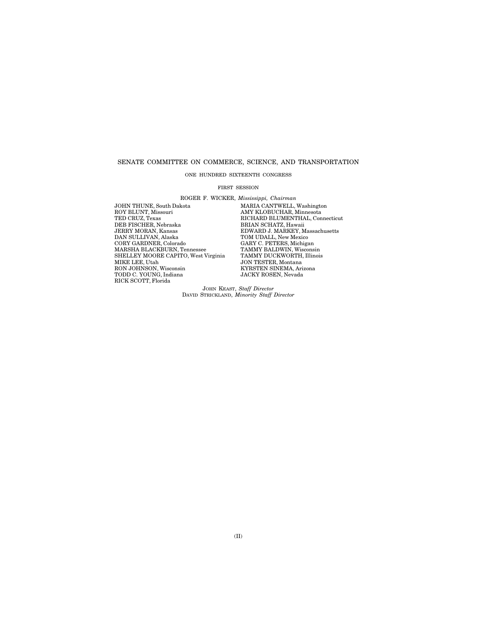## SENATE COMMITTEE ON COMMERCE, SCIENCE, AND TRANSPORTATION

ONE HUNDRED SIXTEENTH CONGRESS

### FIRST SESSION

ROGER F. WICKER, *Mississippi, Chairman*  JOHN THUNE, South Dakota MARIA CANTWELL, Washington<br>ROY BLUNT, Missouri MARIA MAY KLOBUCHAR, Minnesota

ROY BLUNT, Missouri AMY KLOBUCHAR, Minnesota TED CRUZ, Texas RICHARD BLUMENTHAL, Connecticut THE CIRCLIFER, Nebraska BRIAN SCHATZ, Hawaii JERRY MORAN, Kansas<br>JERRY MORAN, Kansas<br>DNARD J. MARKEY, M<br>DAN SULLIVAN, Alaska TOM UDALL, New Mexic JERRY MORAN, Kansas EDWARD J. MARKEY, Massachusetts DAN SULLIVAN, Alaska TOM UDALL, New Mexico CORY GARDNER, Colorado CARY C. PETERS, Michigan<br>MARSHA BLACKBURN, Tennessee TAMMY BALDWIN, Wisconsin<br>SHELLEY MOORE CAPITO, West Virginia TAMMY DUCKWORTH, Illinois MARSHA BLACKBURN, Tennessee TAMMY BALDWIN, Wisconsin SHELLEY MOORE CAPITO, West Virginia TAMMY DUCKWORTH, Illinois MIKE LEE, Utah JON TESTER, Montana TODD C. YOUNG, Indiana JACKY ROSEN, Nevada RICK SCOTT, Florida

**SON TESTEN, MONTAIR<br>KYRSTEN SINEMA, Arizona**<br>JACKY ROSEN, Nevada

JOHN KEAST, *Staff Director*  DAVID STRICKLAND, *Minority Staff Director*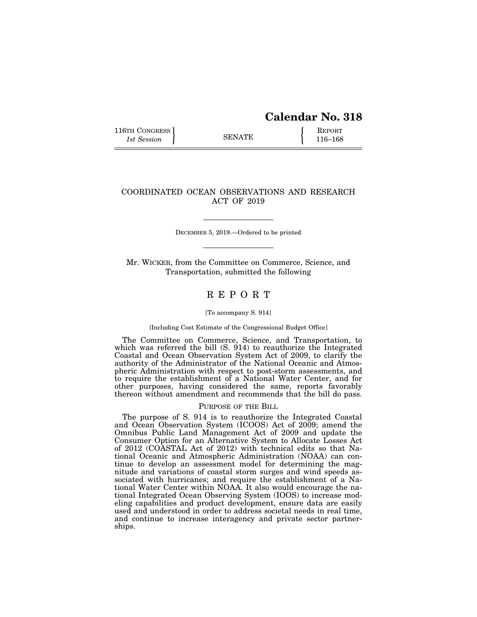# **Calendar No. 318**

116TH CONGRESS **REPORT** 116-168

## COORDINATED OCEAN OBSERVATIONS AND RESEARCH ACT OF 2019

DECEMBER 5, 2019.—Ordered to be printed

Mr. WICKER, from the Committee on Commerce, Science, and Transportation, submitted the following

## R E P O R T

## [To accompany S. 914]

## {Including Cost Estimate of the Congressional Budget Office]

The Committee on Commerce, Science, and Transportation, to which was referred the bill  $(S, 914)$  to reauthorize the Integrated Coastal and Ocean Observation System Act of 2009, to clarify the authority of the Administrator of the National Oceanic and Atmospheric Administration with respect to post-storm assessments, and to require the establishment of a National Water Center, and for other purposes, having considered the same, reports favorably thereon without amendment and recommends that the bill do pass.

## PURPOSE OF THE BILL

The purpose of S. 914 is to reauthorize the Integrated Coastal and Ocean Observation System (ICOOS) Act of 2009; amend the Omnibus Public Land Management Act of 2009 and update the Consumer Option for an Alternative System to Allocate Losses Act of 2012 (COASTAL Act of 2012) with technical edits so that National Oceanic and Atmospheric Administration (NOAA) can continue to develop an assessment model for determining the magnitude and variations of coastal storm surges and wind speeds associated with hurricanes; and require the establishment of a National Water Center within NOAA. It also would encourage the national Integrated Ocean Observing System (IOOS) to increase modeling capabilities and product development, ensure data are easily used and understood in order to address societal needs in real time, and continue to increase interagency and private sector partnerships.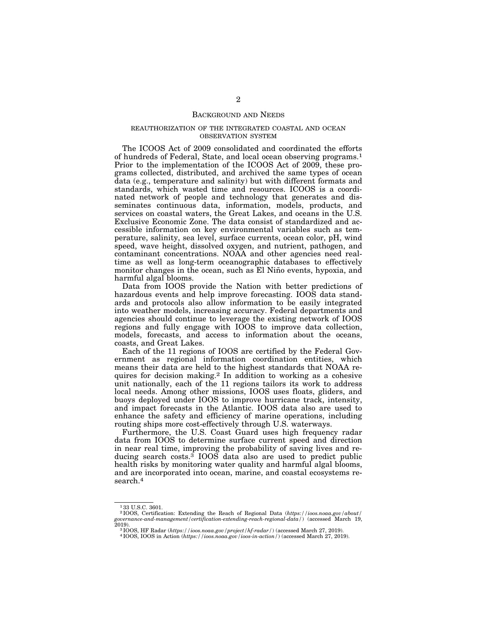## BACKGROUND AND NEEDS

## REAUTHORIZATION OF THE INTEGRATED COASTAL AND OCEAN OBSERVATION SYSTEM

The ICOOS Act of 2009 consolidated and coordinated the efforts of hundreds of Federal, State, and local ocean observing programs.1 Prior to the implementation of the ICOOS Act of 2009, these programs collected, distributed, and archived the same types of ocean data (e.g., temperature and salinity) but with different formats and standards, which wasted time and resources. ICOOS is a coordinated network of people and technology that generates and disseminates continuous data, information, models, products, and services on coastal waters, the Great Lakes, and oceans in the U.S. Exclusive Economic Zone. The data consist of standardized and accessible information on key environmental variables such as temperature, salinity, sea level, surface currents, ocean color, pH, wind speed, wave height, dissolved oxygen, and nutrient, pathogen, and contaminant concentrations. NOAA and other agencies need realtime as well as long-term oceanographic databases to effectively monitor changes in the ocean, such as El Niño events, hypoxia, and harmful algal blooms.

Data from IOOS provide the Nation with better predictions of hazardous events and help improve forecasting. IOOS data standards and protocols also allow information to be easily integrated into weather models, increasing accuracy. Federal departments and agencies should continue to leverage the existing network of IOOS regions and fully engage with IOOS to improve data collection, models, forecasts, and access to information about the oceans, coasts, and Great Lakes.

Each of the 11 regions of IOOS are certified by the Federal Government as regional information coordination entities, which means their data are held to the highest standards that NOAA requires for decision making.2 In addition to working as a cohesive unit nationally, each of the 11 regions tailors its work to address local needs. Among other missions, IOOS uses floats, gliders, and buoys deployed under IOOS to improve hurricane track, intensity, and impact forecasts in the Atlantic. IOOS data also are used to enhance the safety and efficiency of marine operations, including routing ships more cost-effectively through U.S. waterways.

Furthermore, the U.S. Coast Guard uses high frequency radar data from IOOS to determine surface current speed and direction in near real time, improving the probability of saving lives and reducing search costs. $3$  IOOS data also are used to predict public health risks by monitoring water quality and harmful algal blooms, and are incorporated into ocean, marine, and coastal ecosystems research.4

<sup>&</sup>lt;sup>1</sup>33 U.S.C. 3601.<br><sup>2</sup> IOOS, Certification: Extending the Reach of Regional Data (https://ioos.noaa.gov/about/ 2 IOOS, Certification: Extending the Reach of Regional Data (*https://ioos.noaa.gov/about/ governance-and-management/certification-extending-reach-regional-data/*) (accessed March 19,

<sup>2019). 3</sup> IOOS, HF Radar (*https://ioos.noaa.gov/project/hf-radar/*) (accessed March 27, 2019). 4 IOOS, IOOS in Action (*https://ioos.noaa.gov/ioos-in-action/*) (accessed March 27, 2019).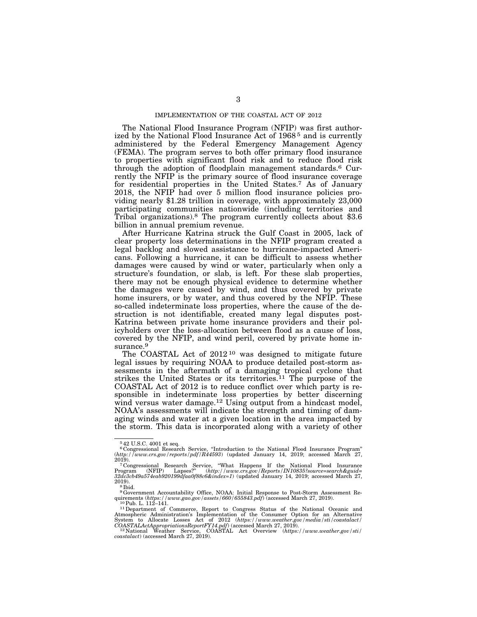## IMPLEMENTATION OF THE COASTAL ACT OF 2012

The National Flood Insurance Program (NFIP) was first authorized by the National Flood Insurance Act of 1968 5 and is currently administered by the Federal Emergency Management Agency (FEMA). The program serves to both offer primary flood insurance to properties with significant flood risk and to reduce flood risk through the adoption of floodplain management standards.6 Currently the NFIP is the primary source of flood insurance coverage for residential properties in the United States.7 As of January 2018, the NFIP had over 5 million flood insurance policies providing nearly \$1.28 trillion in coverage, with approximately 23,000 participating communities nationwide (including territories and Tribal organizations).<sup>8</sup> The program currently collects about \$3.6 billion in annual premium revenue.

After Hurricane Katrina struck the Gulf Coast in 2005, lack of clear property loss determinations in the NFIP program created a legal backlog and slowed assistance to hurricane-impacted Americans. Following a hurricane, it can be difficult to assess whether damages were caused by wind or water, particularly when only a structure's foundation, or slab, is left. For these slab properties, there may not be enough physical evidence to determine whether the damages were caused by wind, and thus covered by private home insurers, or by water, and thus covered by the NFIP. These so-called indeterminate loss properties, where the cause of the destruction is not identifiable, created many legal disputes post-Katrina between private home insurance providers and their policyholders over the loss-allocation between flood as a cause of loss, covered by the NFIP, and wind peril, covered by private home insurance.<sup>9</sup>

The COASTAL Act of 2012<sup>10</sup> was designed to mitigate future legal issues by requiring NOAA to produce detailed post-storm assessments in the aftermath of a damaging tropical cyclone that strikes the United States or its territories.<sup>11</sup> The purpose of the COASTAL Act of 2012 is to reduce conflict over which party is responsible in indeterminate loss properties by better discerning wind versus water damage.<sup>12</sup> Using output from a hindcast model, NOAA's assessments will indicate the strength and timing of damaging winds and water at a given location in the area impacted by the storm. This data is incorporated along with a variety of other

<sup>5</sup> 42 U.S.C. 4001 et seq.

<sup>6</sup> Congressional Research Service, ''Introduction to the National Flood Insurance Program'' (*http://www.crs.gov/reports/pdf/R44593*) (updated January 14, 2019; accessed March 27,

<sup>2019). 7</sup> Congressional Research Service, ''What Happens If the National Flood Insurance Program (NFIP) Lapses?'' (*http://www.crs.gov/Reports/IN10835?source=search&guid= 32dc3cb49a574eab920199dfaa0f88c6&index=1*) (updated January 14, 2019; accessed March 27,

<sup>2019).&</sup>lt;br>
<sup>8</sup> Ibid.<br>
<sup>9</sup> Government Accountability Office, NOAA: Initial Response to Post-Storm Assessment Requirements (*https://www.gao.gov/assets/660/655843.pdf*) (accessed March 27, 2019).<br>
<sup>10</sup> Pub. L. 112–141.<br>
<sup>11</sup> D

Atmospheric Administration's Implementation of the Consumer Option for an Alternative System to Allocate Losses Act of 2012 (https://www.weather.gov/media/sti/coastalact/COASTALActAppropriationsReportFY14.pdf) (accessed M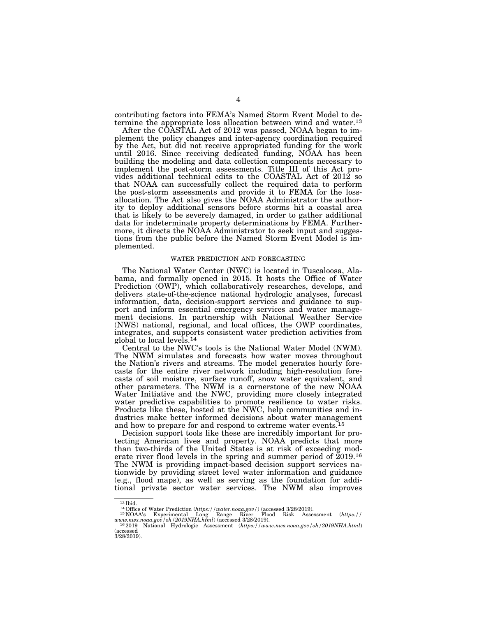contributing factors into FEMA's Named Storm Event Model to determine the appropriate loss allocation between wind and water.13

After the COASTAL Act of 2012 was passed, NOAA began to implement the policy changes and inter-agency coordination required by the Act, but did not receive appropriated funding for the work until 2016. Since receiving dedicated funding, NOAA has been building the modeling and data collection components necessary to implement the post-storm assessments. Title III of this Act provides additional technical edits to the COASTAL Act of 2012 so that NOAA can successfully collect the required data to perform the post-storm assessments and provide it to FEMA for the lossallocation. The Act also gives the NOAA Administrator the authority to deploy additional sensors before storms hit a coastal area that is likely to be severely damaged, in order to gather additional data for indeterminate property determinations by FEMA. Furthermore, it directs the NOAA Administrator to seek input and suggestions from the public before the Named Storm Event Model is implemented.

### WATER PREDICTION AND FORECASTING

The National Water Center (NWC) is located in Tuscaloosa, Alabama, and formally opened in 2015. It hosts the Office of Water Prediction (OWP), which collaboratively researches, develops, and delivers state-of-the-science national hydrologic analyses, forecast information, data, decision-support services and guidance to support and inform essential emergency services and water management decisions. In partnership with National Weather Service (NWS) national, regional, and local offices, the OWP coordinates, integrates, and supports consistent water prediction activities from global to local levels.14

Central to the NWC's tools is the National Water Model (NWM). The NWM simulates and forecasts how water moves throughout the Nation's rivers and streams. The model generates hourly forecasts for the entire river network including high-resolution forecasts of soil moisture, surface runoff, snow water equivalent, and other parameters. The NWM is a cornerstone of the new NOAA Water Initiative and the NWC, providing more closely integrated water predictive capabilities to promote resilience to water risks. Products like these, hosted at the NWC, help communities and industries make better informed decisions about water management and how to prepare for and respond to extreme water events.15

Decision support tools like these are incredibly important for protecting American lives and property. NOAA predicts that more than two-thirds of the United States is at risk of exceeding moderate river flood levels in the spring and summer period of 2019.16 The NWM is providing impact-based decision support services nationwide by providing street level water information and guidance (e.g., flood maps), as well as serving as the foundation for additional private sector water services. The NWM also improves

<sup>13</sup> Ibid.<br>
14 Office of Water Prediction (*https://water.noaa.gov/*) (accessed 3/28/2019).<br>
15 NOAA's Experimental Long Range River Flood Risk Assessment (*https://www.nws.noaa.gov/oh/2019NHA.html*) (accessed 3/28/2019).

<sup>&</sup>lt;sup>16</sup> 2019 National Hydrologic Assessment (*https://www.nws.noaa.gov/oh/2019NHA.html*) (accessed 3/28/2019).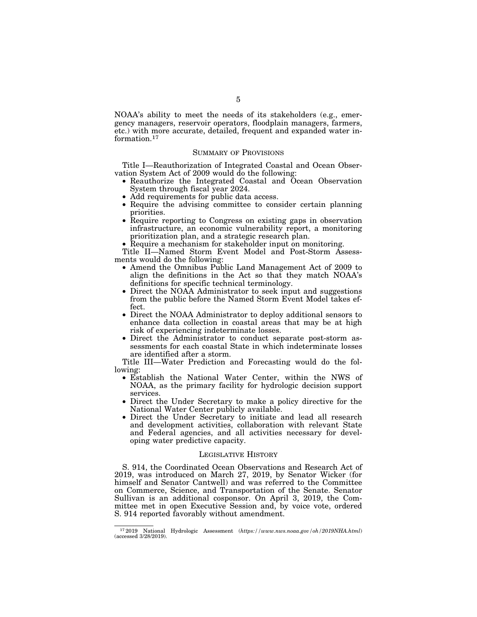NOAA's ability to meet the needs of its stakeholders (e.g., emergency managers, reservoir operators, floodplain managers, farmers, etc.) with more accurate, detailed, frequent and expanded water information.17

## SUMMARY OF PROVISIONS

Title I—Reauthorization of Integrated Coastal and Ocean Observation System Act of 2009 would do the following:

- Reauthorize the Integrated Coastal and Ocean Observation System through fiscal year 2024.
- Add requirements for public data access.
- Require the advising committee to consider certain planning priorities.
- Require reporting to Congress on existing gaps in observation infrastructure, an economic vulnerability report, a monitoring prioritization plan, and a strategic research plan.
- Require a mechanism for stakeholder input on monitoring.

Title II—Named Storm Event Model and Post-Storm Assessments would do the following:

- Amend the Omnibus Public Land Management Act of 2009 to align the definitions in the Act so that they match NOAA's definitions for specific technical terminology.
- Direct the NOAA Administrator to seek input and suggestions from the public before the Named Storm Event Model takes effect.
- Direct the NOAA Administrator to deploy additional sensors to enhance data collection in coastal areas that may be at high risk of experiencing indeterminate losses.
- Direct the Administrator to conduct separate post-storm assessments for each coastal State in which indeterminate losses are identified after a storm.

Title III—Water Prediction and Forecasting would do the following:

- Establish the National Water Center, within the NWS of NOAA, as the primary facility for hydrologic decision support services.
- Direct the Under Secretary to make a policy directive for the National Water Center publicly available.
- Direct the Under Secretary to initiate and lead all research and development activities, collaboration with relevant State and Federal agencies, and all activities necessary for developing water predictive capacity.

## LEGISLATIVE HISTORY

S. 914, the Coordinated Ocean Observations and Research Act of 2019, was introduced on March 27, 2019, by Senator Wicker (for himself and Senator Cantwell) and was referred to the Committee on Commerce, Science, and Transportation of the Senate. Senator Sullivan is an additional cosponsor. On April 3, 2019, the Committee met in open Executive Session and, by voice vote, ordered S. 914 reported favorably without amendment.

<sup>17</sup> 2019 National Hydrologic Assessment (*https://www.nws.noaa.gov/oh/2019NHA.html*) (accessed 3/28/2019).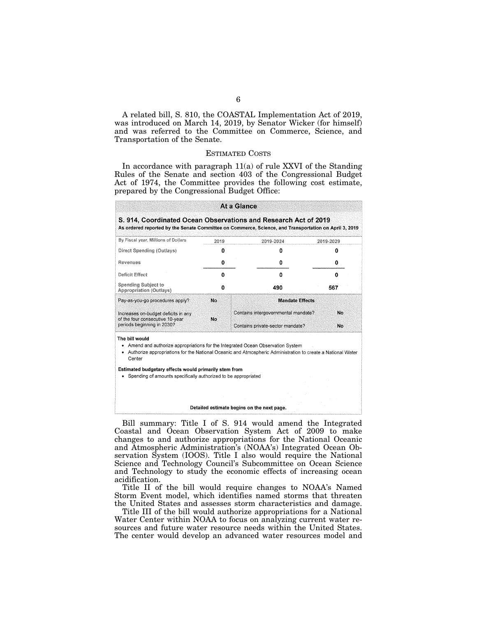A related bill, S. 810, the COASTAL Implementation Act of 2019, was introduced on March 14, 2019, by Senator Wicker (for himself) and was referred to the Committee on Commerce, Science, and Transportation of the Senate.

## ESTIMATED COSTS

In accordance with paragraph 11(a) of rule XXVI of the Standing Rules of the Senate and section 403 of the Congressional Budget Act of 1974, the Committee provides the following cost estimate, prepared by the Congressional Budget Office:

| 0<br>0    | 0                      | 0                                                                                                                                                                                                                                                                                                                                                                                                       |  |  |
|-----------|------------------------|---------------------------------------------------------------------------------------------------------------------------------------------------------------------------------------------------------------------------------------------------------------------------------------------------------------------------------------------------------------------------------------------------------|--|--|
|           |                        |                                                                                                                                                                                                                                                                                                                                                                                                         |  |  |
|           | 0                      | 0                                                                                                                                                                                                                                                                                                                                                                                                       |  |  |
| 0         | 0                      | n                                                                                                                                                                                                                                                                                                                                                                                                       |  |  |
| O         | 490                    | 567                                                                                                                                                                                                                                                                                                                                                                                                     |  |  |
| <b>No</b> | <b>Mandate Effects</b> |                                                                                                                                                                                                                                                                                                                                                                                                         |  |  |
| No        |                        | No<br>No                                                                                                                                                                                                                                                                                                                                                                                                |  |  |
|           |                        |                                                                                                                                                                                                                                                                                                                                                                                                         |  |  |
|           |                        |                                                                                                                                                                                                                                                                                                                                                                                                         |  |  |
|           |                        |                                                                                                                                                                                                                                                                                                                                                                                                         |  |  |
|           |                        | Contains intergovernmental mandate?<br>Contains private-sector mandate?<br>• Amend and authorize appropriations for the Integrated Ocean Observation System<br>• Authorize appropriations for the National Oceanic and Atmospheric Administration to create a National Water<br>Estimated budgetary effects would primarily stem from<br>Spending of amounts specifically authorized to be appropriated |  |  |

Bill summary: Title I of S. 914 would amend the Integrated Coastal and Ocean Observation System Act of 2009 to make changes to and authorize appropriations for the National Oceanic and Atmospheric Administration's (NOAA's) Integrated Ocean Observation System (IOOS). Title I also would require the National Science and Technology Council's Subcommittee on Ocean Science and Technology to study the economic effects of increasing ocean acidification.

Title II of the bill would require changes to NOAA's Named Storm Event model, which identifies named storms that threaten the United States and assesses storm characteristics and damage.

Title III of the bill would authorize appropriations for a National Water Center within NOAA to focus on analyzing current water resources and future water resource needs within the United States. The center would develop an advanced water resources model and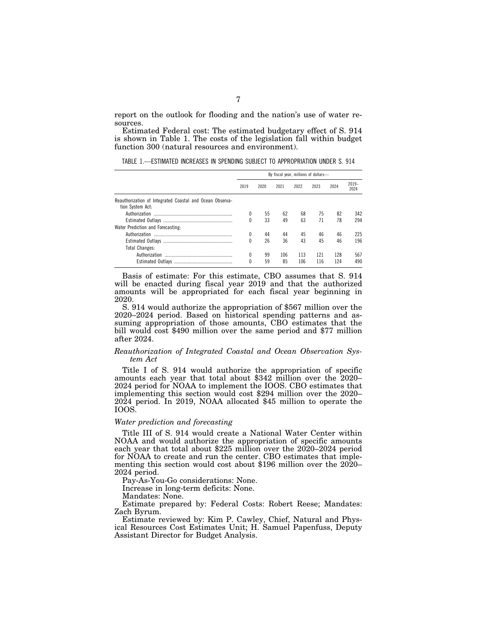report on the outlook for flooding and the nation's use of water resources.

Estimated Federal cost: The estimated budgetary effect of S. 914 is shown in Table 1. The costs of the legislation fall within budget function 300 (natural resources and environment).

TABLE 1.—ESTIMATED INCREASES IN SPENDING SUBJECT TO APPROPRIATION UNDER S. 914

|                                                                              | By fiscal year, millions of dollars- |      |      |      |      |      |                 |
|------------------------------------------------------------------------------|--------------------------------------|------|------|------|------|------|-----------------|
|                                                                              | 2019                                 | 2020 | 2021 | 2022 | 2023 | 2024 | $2019-$<br>2024 |
| Reauthorization of Integrated Coastal and Ocean Observa-<br>tion System Act: |                                      |      |      |      |      |      |                 |
|                                                                              | 0                                    | 55   | 62   | 68   | 75   | 82   | 342             |
|                                                                              | 0                                    | 33   | 49   | 63   | 71   | 78   | 294             |
| Water Prediction and Forecasting:                                            |                                      |      |      |      |      |      |                 |
|                                                                              | 0                                    | 44   | 44   | 45   | 46   | 46   | 225             |
|                                                                              | O                                    | 26   | 36   | 43   | 45   | 46   | 196             |
| <b>Total Changes:</b>                                                        |                                      |      |      |      |      |      |                 |
|                                                                              | O                                    | 99   | 106  | 113  | 121  | 128  | 567             |
|                                                                              | 0                                    | 59   | 85   | 106  | 116  | 124  | 490             |

Basis of estimate: For this estimate, CBO assumes that S. 914 will be enacted during fiscal year 2019 and that the authorized amounts will be appropriated for each fiscal year beginning in 2020.

S. 914 would authorize the appropriation of \$567 million over the 2020–2024 period. Based on historical spending patterns and assuming appropriation of those amounts, CBO estimates that the bill would cost \$490 million over the same period and \$77 million after 2024.

## *Reauthorization of Integrated Coastal and Ocean Observation System Act*

Title I of S. 914 would authorize the appropriation of specific amounts each year that total about \$342 million over the 2020– 2024 period for NOAA to implement the IOOS. CBO estimates that implementing this section would cost \$294 million over the 2020– 2024 period. In 2019, NOAA allocated \$45 million to operate the IOOS.

## *Water prediction and forecasting*

Title III of S. 914 would create a National Water Center within NOAA and would authorize the appropriation of specific amounts each year that total about \$225 million over the 2020–2024 period for NOAA to create and run the center. CBO estimates that implementing this section would cost about \$196 million over the 2020– 2024 period.

Pay-As-You-Go considerations: None.

Increase in long-term deficits: None.

Mandates: None.

Estimate prepared by: Federal Costs: Robert Reese; Mandates: Zach Byrum.

Estimate reviewed by: Kim P. Cawley, Chief, Natural and Physical Resources Cost Estimates Unit; H. Samuel Papenfuss, Deputy Assistant Director for Budget Analysis.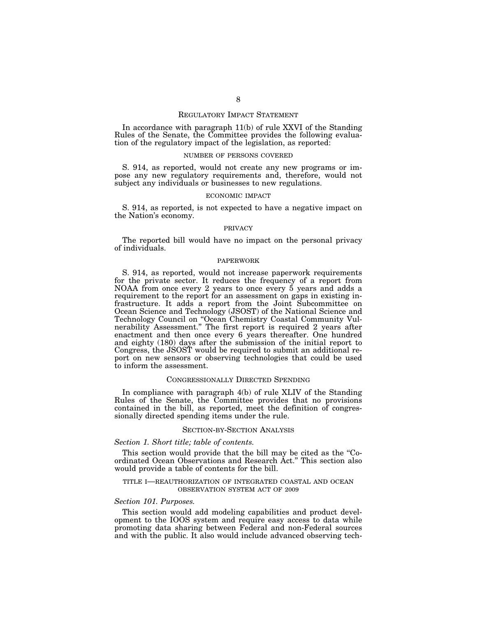## REGULATORY IMPACT STATEMENT

In accordance with paragraph 11(b) of rule XXVI of the Standing Rules of the Senate, the Committee provides the following evaluation of the regulatory impact of the legislation, as reported:

### NUMBER OF PERSONS COVERED

S. 914, as reported, would not create any new programs or impose any new regulatory requirements and, therefore, would not subject any individuals or businesses to new regulations.

### ECONOMIC IMPACT

S. 914, as reported, is not expected to have a negative impact on the Nation's economy.

### PRIVACY

The reported bill would have no impact on the personal privacy of individuals.

## PAPERWORK

S. 914, as reported, would not increase paperwork requirements for the private sector. It reduces the frequency of a report from NOAA from once every 2 years to once every 5 years and adds a requirement to the report for an assessment on gaps in existing infrastructure. It adds a report from the Joint Subcommittee on Ocean Science and Technology (JSOST) of the National Science and Technology Council on ''Ocean Chemistry Coastal Community Vulnerability Assessment.'' The first report is required 2 years after enactment and then once every 6 years thereafter. One hundred and eighty (180) days after the submission of the initial report to Congress, the JSOST would be required to submit an additional report on new sensors or observing technologies that could be used to inform the assessment.

## CONGRESSIONALLY DIRECTED SPENDING

In compliance with paragraph 4(b) of rule XLIV of the Standing Rules of the Senate, the Committee provides that no provisions contained in the bill, as reported, meet the definition of congressionally directed spending items under the rule.

### SECTION-BY-SECTION ANALYSIS

## *Section 1. Short title; table of contents.*

This section would provide that the bill may be cited as the "Coordinated Ocean Observations and Research Act.'' This section also would provide a table of contents for the bill.

### TITLE I—REAUTHORIZATION OF INTEGRATED COASTAL AND OCEAN OBSERVATION SYSTEM ACT OF 2009

### *Section 101. Purposes.*

This section would add modeling capabilities and product development to the IOOS system and require easy access to data while promoting data sharing between Federal and non-Federal sources and with the public. It also would include advanced observing tech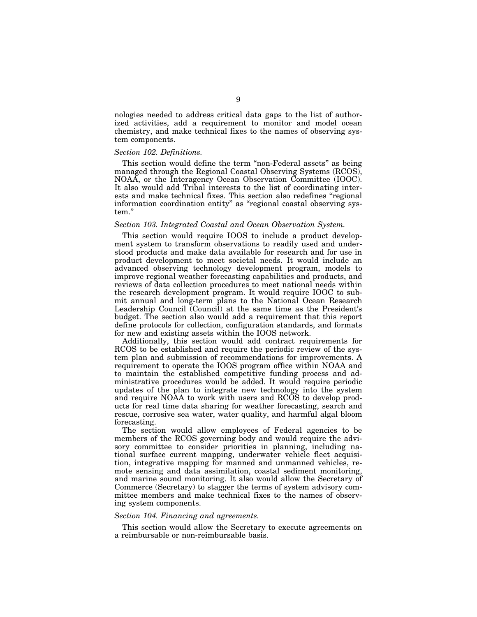nologies needed to address critical data gaps to the list of authorized activities, add a requirement to monitor and model ocean chemistry, and make technical fixes to the names of observing system components.

## *Section 102. Definitions.*

This section would define the term "non-Federal assets" as being managed through the Regional Coastal Observing Systems (RCOS), NOAA, or the Interagency Ocean Observation Committee (IOOC). It also would add Tribal interests to the list of coordinating interests and make technical fixes. This section also redefines ''regional information coordination entity'' as ''regional coastal observing system.''

## *Section 103. Integrated Coastal and Ocean Observation System.*

This section would require IOOS to include a product development system to transform observations to readily used and understood products and make data available for research and for use in product development to meet societal needs. It would include an advanced observing technology development program, models to improve regional weather forecasting capabilities and products, and reviews of data collection procedures to meet national needs within the research development program. It would require IOOC to submit annual and long-term plans to the National Ocean Research Leadership Council (Council) at the same time as the President's budget. The section also would add a requirement that this report define protocols for collection, configuration standards, and formats for new and existing assets within the IOOS network.

Additionally, this section would add contract requirements for RCOS to be established and require the periodic review of the system plan and submission of recommendations for improvements. A requirement to operate the IOOS program office within NOAA and to maintain the established competitive funding process and administrative procedures would be added. It would require periodic updates of the plan to integrate new technology into the system and require NOAA to work with users and RCOS to develop products for real time data sharing for weather forecasting, search and rescue, corrosive sea water, water quality, and harmful algal bloom forecasting.

The section would allow employees of Federal agencies to be members of the RCOS governing body and would require the advisory committee to consider priorities in planning, including national surface current mapping, underwater vehicle fleet acquisition, integrative mapping for manned and unmanned vehicles, remote sensing and data assimilation, coastal sediment monitoring, and marine sound monitoring. It also would allow the Secretary of Commerce (Secretary) to stagger the terms of system advisory committee members and make technical fixes to the names of observing system components.

## *Section 104. Financing and agreements.*

This section would allow the Secretary to execute agreements on a reimbursable or non-reimbursable basis.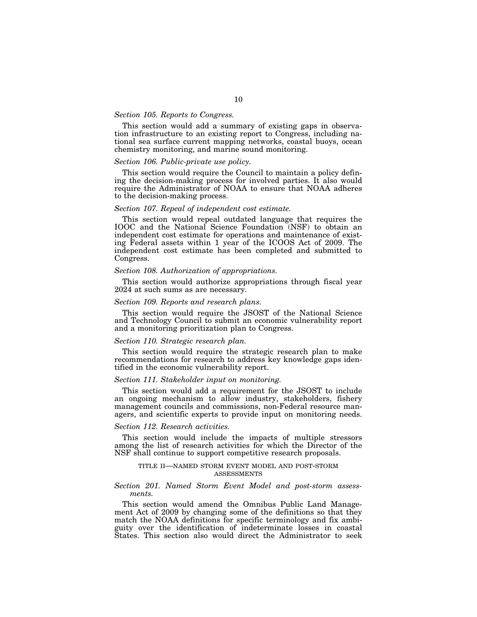## *Section 105. Reports to Congress.*

This section would add a summary of existing gaps in observation infrastructure to an existing report to Congress, including national sea surface current mapping networks, coastal buoys, ocean chemistry monitoring, and marine sound monitoring.

### *Section 106. Public-private use policy.*

This section would require the Council to maintain a policy defining the decision-making process for involved parties. It also would require the Administrator of NOAA to ensure that NOAA adheres to the decision-making process.

## *Section 107. Repeal of independent cost estimate.*

This section would repeal outdated language that requires the IOOC and the National Science Foundation (NSF) to obtain an independent cost estimate for operations and maintenance of existing Federal assets within 1 year of the ICOOS Act of 2009. The independent cost estimate has been completed and submitted to Congress.

### *Section 108. Authorization of appropriations.*

This section would authorize appropriations through fiscal year 2024 at such sums as are necessary.

### *Section 109. Reports and research plans.*

This section would require the JSOST of the National Science and Technology Council to submit an economic vulnerability report and a monitoring prioritization plan to Congress.

## *Section 110. Strategic research plan.*

This section would require the strategic research plan to make recommendations for research to address key knowledge gaps identified in the economic vulnerability report.

## *Section 111. Stakeholder input on monitoring.*

This section would add a requirement for the JSOST to include an ongoing mechanism to allow industry, stakeholders, fishery management councils and commissions, non-Federal resource managers, and scientific experts to provide input on monitoring needs.

### *Section 112. Research activities.*

This section would include the impacts of multiple stressors among the list of research activities for which the Director of the NSF shall continue to support competitive research proposals.

## TITLE II—NAMED STORM EVENT MODEL AND POST-STORM ASSESSMENTS

## *Section 201. Named Storm Event Model and post-storm assessments.*

This section would amend the Omnibus Public Land Management Act of 2009 by changing some of the definitions so that they match the NOAA definitions for specific terminology and fix ambiguity over the identification of indeterminate losses in coastal States. This section also would direct the Administrator to seek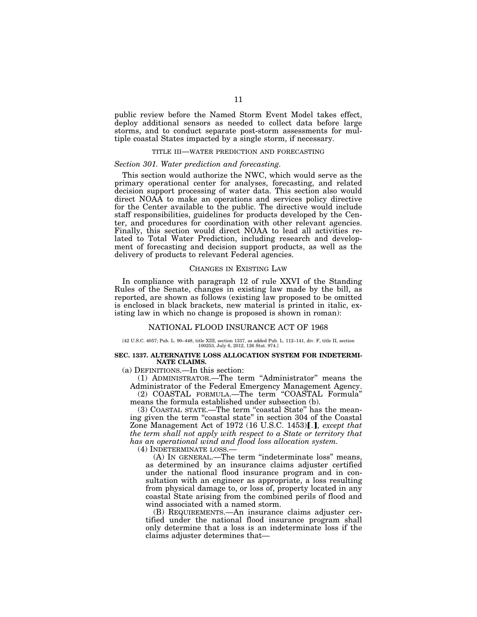public review before the Named Storm Event Model takes effect, deploy additional sensors as needed to collect data before large storms, and to conduct separate post-storm assessments for multiple coastal States impacted by a single storm, if necessary.

### TITLE III—WATER PREDICTION AND FORECASTING

## *Section 301. Water prediction and forecasting.*

This section would authorize the NWC, which would serve as the primary operational center for analyses, forecasting, and related decision support processing of water data. This section also would direct NOAA to make an operations and services policy directive for the Center available to the public. The directive would include staff responsibilities, guidelines for products developed by the Center, and procedures for coordination with other relevant agencies. Finally, this section would direct NOAA to lead all activities related to Total Water Prediction, including research and development of forecasting and decision support products, as well as the delivery of products to relevant Federal agencies.

### CHANGES IN EXISTING LAW

In compliance with paragraph 12 of rule XXVI of the Standing Rules of the Senate, changes in existing law made by the bill, as reported, are shown as follows (existing law proposed to be omitted is enclosed in black brackets, new material is printed in italic, existing law in which no change is proposed is shown in roman):

## NATIONAL FLOOD INSURANCE ACT OF 1968

# [42 U.S.C. 4057; Pub. L. 90–448, title XIII, section 1337, as added Pub. L. 112–141, div. F, title II, section 100253, July 6, 2012, 126 Stat. 974.]

### **SEC. 1337. ALTERNATIVE LOSS ALLOCATION SYSTEM FOR INDETERMI-NATE CLAIMS.**

(a) DEFINITIONS.—In this section:

(1) ADMINISTRATOR.—The term ''Administrator'' means the Administrator of the Federal Emergency Management Agency. (2) COASTAL FORMULA.—The term ''COASTAL Formula''

means the formula established under subsection (b).

(3) COASTAL STATE.—The term ''coastal State'' has the meaning given the term ''coastal state'' in section 304 of the Coastal Zone Management Act of 1972 (16 U.S.C. 1453). *P. except that the term shall not apply with respect to a State or territory that has an operational wind and flood loss allocation system.* 

(4) INDETERMINATE LOSS.—

(A) IN GENERAL.—The term ''indeterminate loss'' means, as determined by an insurance claims adjuster certified under the national flood insurance program and in consultation with an engineer as appropriate, a loss resulting from physical damage to, or loss of, property located in any coastal State arising from the combined perils of flood and wind associated with a named storm.

(B) REQUIREMENTS.—An insurance claims adjuster certified under the national flood insurance program shall only determine that a loss is an indeterminate loss if the claims adjuster determines that—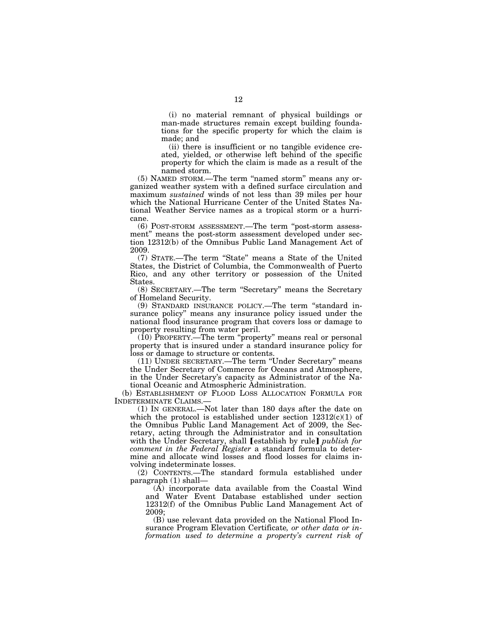(i) no material remnant of physical buildings or man-made structures remain except building foundations for the specific property for which the claim is made; and

(ii) there is insufficient or no tangible evidence created, yielded, or otherwise left behind of the specific property for which the claim is made as a result of the named storm.

(5) NAMED STORM.—The term ''named storm'' means any organized weather system with a defined surface circulation and maximum *sustained* winds of not less than 39 miles per hour which the National Hurricane Center of the United States National Weather Service names as a tropical storm or a hurricane.

(6) POST-STORM ASSESSMENT.—The term ''post-storm assessment'' means the post-storm assessment developed under section 12312(b) of the Omnibus Public Land Management Act of 2009.

(7) STATE.—The term ''State'' means a State of the United States, the District of Columbia, the Commonwealth of Puerto Rico, and any other territory or possession of the United States.

(8) SECRETARY.—The term ''Secretary'' means the Secretary of Homeland Security.

(9) STANDARD INSURANCE POLICY.—The term ''standard insurance policy'' means any insurance policy issued under the national flood insurance program that covers loss or damage to property resulting from water peril.

 $(10)$  PROPERTY.—The term "property" means real or personal property that is insured under a standard insurance policy for loss or damage to structure or contents.

(11) UNDER SECRETARY.—The term ''Under Secretary'' means the Under Secretary of Commerce for Oceans and Atmosphere, in the Under Secretary's capacity as Administrator of the National Oceanic and Atmospheric Administration.

(b) ESTABLISHMENT OF FLOOD LOSS ALLOCATION FORMULA FOR INDETERMINATE CLAIMS.—

(1) IN GENERAL.—Not later than 180 days after the date on which the protocol is established under section  $12312(c)(1)$  of the Omnibus Public Land Management Act of 2009, the Secretary, acting through the Administrator and in consultation with the Under Secretary, shall *[establish by rule] publish for comment in the Federal Register* a standard formula to determine and allocate wind losses and flood losses for claims involving indeterminate losses.

(2) CONTENTS.—The standard formula established under paragraph (1) shall—

(A) incorporate data available from the Coastal Wind and Water Event Database established under section 12312(f) of the Omnibus Public Land Management Act of 2009;

(B) use relevant data provided on the National Flood Insurance Program Elevation Certificate*, or other data or information used to determine a property's current risk of*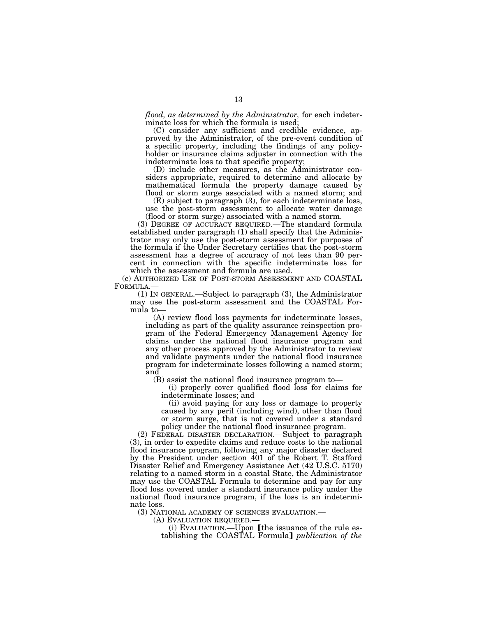*flood, as determined by the Administrator,* for each indeterminate loss for which the formula is used;

(C) consider any sufficient and credible evidence, approved by the Administrator, of the pre-event condition of a specific property, including the findings of any policyholder or insurance claims adjuster in connection with the indeterminate loss to that specific property;

(D) include other measures, as the Administrator considers appropriate, required to determine and allocate by mathematical formula the property damage caused by flood or storm surge associated with a named storm; and

(E) subject to paragraph (3), for each indeterminate loss, use the post-storm assessment to allocate water damage (flood or storm surge) associated with a named storm.

(3) DEGREE OF ACCURACY REQUIRED.—The standard formula established under paragraph (1) shall specify that the Administrator may only use the post-storm assessment for purposes of the formula if the Under Secretary certifies that the post-storm assessment has a degree of accuracy of not less than 90 percent in connection with the specific indeterminate loss for which the assessment and formula are used.

(c) AUTHORIZED USE OF POST-STORM ASSESSMENT AND COASTAL

 $(1)$  In GENERAL.—Subject to paragraph  $(3)$ , the Administrator may use the post-storm assessment and the COASTAL Formula to—

(A) review flood loss payments for indeterminate losses, including as part of the quality assurance reinspection program of the Federal Emergency Management Agency for claims under the national flood insurance program and any other process approved by the Administrator to review and validate payments under the national flood insurance program for indeterminate losses following a named storm; and

(B) assist the national flood insurance program to—

(i) properly cover qualified flood loss for claims for indeterminate losses; and

(ii) avoid paying for any loss or damage to property caused by any peril (including wind), other than flood or storm surge, that is not covered under a standard policy under the national flood insurance program.

(2) FEDERAL DISASTER DECLARATION.—Subject to paragraph (3), in order to expedite claims and reduce costs to the national flood insurance program, following any major disaster declared by the President under section 401 of the Robert T. Stafford Disaster Relief and Emergency Assistance Act (42 U.S.C. 5170) relating to a named storm in a coastal State, the Administrator may use the COASTAL Formula to determine and pay for any flood loss covered under a standard insurance policy under the national flood insurance program, if the loss is an indeterminate loss.

(3) NATIONAL ACADEMY OF SCIENCES EVALUATION.— (A) EVALUATION REQUIRED.—

(i) EVALUATION.—Upon [the issuance of the rule establishing the COASTAL Formula] *publication of the*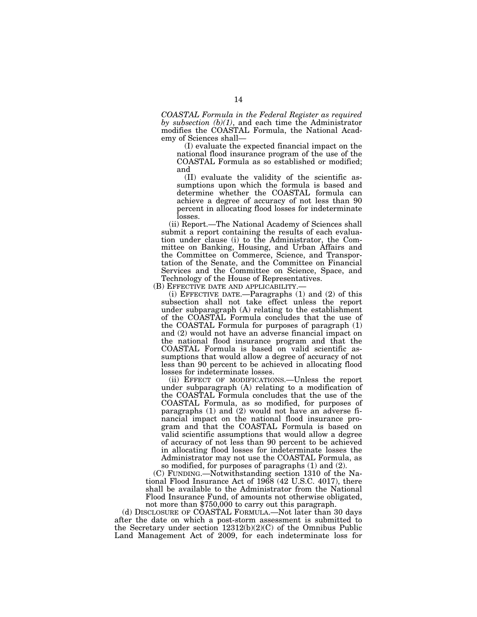*COASTAL Formula in the Federal Register as required by subsection (b)(1)*, and each time the Administrator modifies the COASTAL Formula, the National Academy of Sciences shall—

(I) evaluate the expected financial impact on the national flood insurance program of the use of the COASTAL Formula as so established or modified; and

(II) evaluate the validity of the scientific assumptions upon which the formula is based and determine whether the COASTAL formula can achieve a degree of accuracy of not less than 90 percent in allocating flood losses for indeterminate losses.

(ii) Report.—The National Academy of Sciences shall submit a report containing the results of each evaluation under clause (i) to the Administrator, the Committee on Banking, Housing, and Urban Affairs and the Committee on Commerce, Science, and Transportation of the Senate, and the Committee on Financial Services and the Committee on Science, Space, and Technology of the House of Representatives.<br>(B) EFFECTIVE DATE AND APPLICABILITY.—

(i) EFFECTIVE DATE.—Paragraphs  $(1)$  and  $(2)$  of this subsection shall not take effect unless the report under subparagraph (A) relating to the establishment of the COASTAL Formula concludes that the use of the COASTAL Formula for purposes of paragraph (1) and (2) would not have an adverse financial impact on the national flood insurance program and that the COASTAL Formula is based on valid scientific assumptions that would allow a degree of accuracy of not less than 90 percent to be achieved in allocating flood losses for indeterminate losses.

(ii) EFFECT OF MODIFICATIONS.—Unless the report under subparagraph (A) relating to a modification of the COASTAL Formula concludes that the use of the COASTAL Formula, as so modified, for purposes of paragraphs (1) and (2) would not have an adverse financial impact on the national flood insurance program and that the COASTAL Formula is based on valid scientific assumptions that would allow a degree of accuracy of not less than 90 percent to be achieved in allocating flood losses for indeterminate losses the Administrator may not use the COASTAL Formula, as so modified, for purposes of paragraphs (1) and (2).

(C) FUNDING.—Notwithstanding section 1310 of the National Flood Insurance Act of 1968 (42 U.S.C. 4017), there shall be available to the Administrator from the National Flood Insurance Fund, of amounts not otherwise obligated, not more than \$750,000 to carry out this paragraph.

(d) DISCLOSURE OF COASTAL FORMULA.—Not later than 30 days after the date on which a post-storm assessment is submitted to the Secretary under section  $12312(b)(2)(C)$  of the Omnibus Public Land Management Act of 2009, for each indeterminate loss for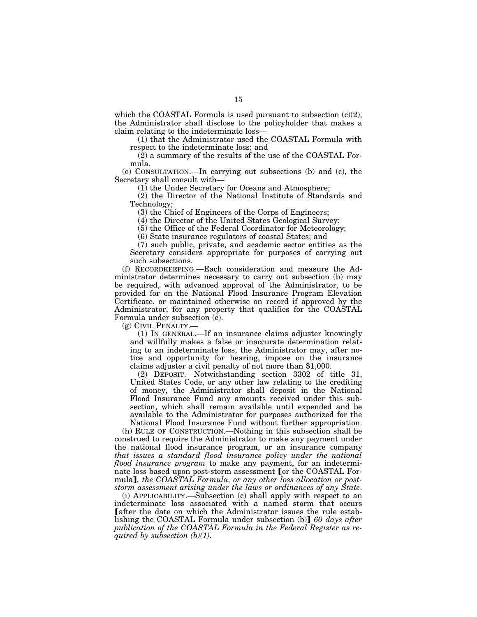which the COASTAL Formula is used pursuant to subsection  $(c)(2)$ , the Administrator shall disclose to the policyholder that makes a claim relating to the indeterminate loss—

(1) that the Administrator used the COASTAL Formula with respect to the indeterminate loss; and

(2) a summary of the results of the use of the COASTAL Formula.

(e) CONSULTATION.—In carrying out subsections (b) and (c), the Secretary shall consult with—

(1) the Under Secretary for Oceans and Atmosphere;

(2) the Director of the National Institute of Standards and Technology;

(3) the Chief of Engineers of the Corps of Engineers;

(4) the Director of the United States Geological Survey;

(5) the Office of the Federal Coordinator for Meteorology;

(6) State insurance regulators of coastal States; and

(7) such public, private, and academic sector entities as the Secretary considers appropriate for purposes of carrying out such subsections.

(f) RECORDKEEPING.—Each consideration and measure the Administrator determines necessary to carry out subsection (b) may be required, with advanced approval of the Administrator, to be provided for on the National Flood Insurance Program Elevation Certificate, or maintained otherwise on record if approved by the Administrator, for any property that qualifies for the COASTAL Formula under subsection (c).

(g) CIVIL PENALTY.—

(1) IN GENERAL.—If an insurance claims adjuster knowingly and willfully makes a false or inaccurate determination relating to an indeterminate loss, the Administrator may, after notice and opportunity for hearing, impose on the insurance claims adjuster a civil penalty of not more than \$1,000.

(2) DEPOSIT.—Notwithstanding section 3302 of title 31, United States Code, or any other law relating to the crediting of money, the Administrator shall deposit in the National Flood Insurance Fund any amounts received under this subsection, which shall remain available until expended and be available to the Administrator for purposes authorized for the National Flood Insurance Fund without further appropriation.

(h) RULE OF CONSTRUCTION.—Nothing in this subsection shall be construed to require the Administrator to make any payment under the national flood insurance program, or an insurance company *that issues a standard flood insurance policy under the national flood insurance program* to make any payment, for an indeterminate loss based upon post-storm assessment [or the COASTAL Formula], the COASTAL Formula, or any other loss allocation or post*storm assessment arising under the laws or ordinances of any State*.

(i) APPLICABILITY.—Subsection (c) shall apply with respect to an indeterminate loss associated with a named storm that occurs after the date on which the Administrator issues the rule establishing the COASTAL Formula under subsection (b) 60 days after *publication of the COASTAL Formula in the Federal Register as required by subsection (b)(1)*.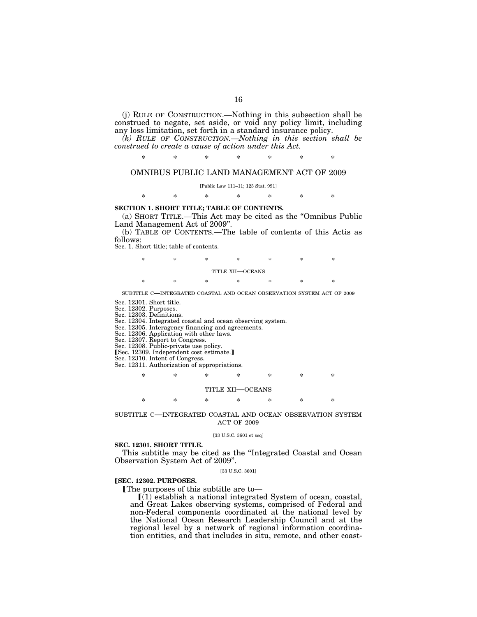(j) RULE OF CONSTRUCTION.—Nothing in this subsection shall be construed to negate, set aside, or void any policy limit, including any loss limitation, set forth in a standard insurance policy.

*(k) RULE OF CONSTRUCTION.—Nothing in this section shall be construed to create a cause of action under this Act.* 

\* \* \* \* \* \* \*

## OMNIBUS PUBLIC LAND MANAGEMENT ACT OF 2009

[Public Law 111–11; 123 Stat. 991]

\* \* \* \* \* \* \*

## **SECTION 1. SHORT TITLE; TABLE OF CONTENTS.**

(a) SHORT TITLE.—This Act may be cited as the ''Omnibus Public Land Management Act of 2009''.

(b) TABLE OF CONTENTS.—The table of contents of this Actis as follows:

Sec. 1. Short title; table of contents.

| $\ast$           | * | ∗ | ∗ | × | ∗ | × |  |  |
|------------------|---|---|---|---|---|---|--|--|
| TITLE XII—OCEANS |   |   |   |   |   |   |  |  |
| 永                | * | ∗ | ∗ | × | ∗ | × |  |  |

SUBTITLE C—INTEGRATED COASTAL AND OCEAN OBSERVATION SYSTEM ACT OF 2009

Sec. 12301. Short title.

Sec. 12302. Purposes.

Sec. 12303. Definitions.

Sec. 12304. Integrated coastal and ocean observing system.

Sec. 12305. Interagency financing and agreements.

Sec. 12306. Application with other laws.

Sec. 12307. Report to Congress.

Sec. 12308. Public-private use policy.

[Sec. 12309. Independent cost estimate.]

Sec. 12310. Intent of Congress.

Sec. 12311. Authorization of appropriations.

## \* \* \* \* \* \* \* TITLE XII—OCEANS

\* \* \* \* \* \* \*

SUBTITLE C—INTEGRATED COASTAL AND OCEAN OBSERVATION SYSTEM ACT OF 2009

#### [33 U.S.C. 3601 et seq]

## **SEC. 12301. SHORT TITLE.**

This subtitle may be cited as the ''Integrated Coastal and Ocean Observation System Act of 2009''.

## [33 U.S.C. 3601]

### ø**SEC. 12302. PURPOSES.**

The purposes of this subtitle are to-

 $(i)$  establish a national integrated System of ocean, coastal, and Great Lakes observing systems, comprised of Federal and non-Federal components coordinated at the national level by the National Ocean Research Leadership Council and at the regional level by a network of regional information coordination entities, and that includes in situ, remote, and other coast-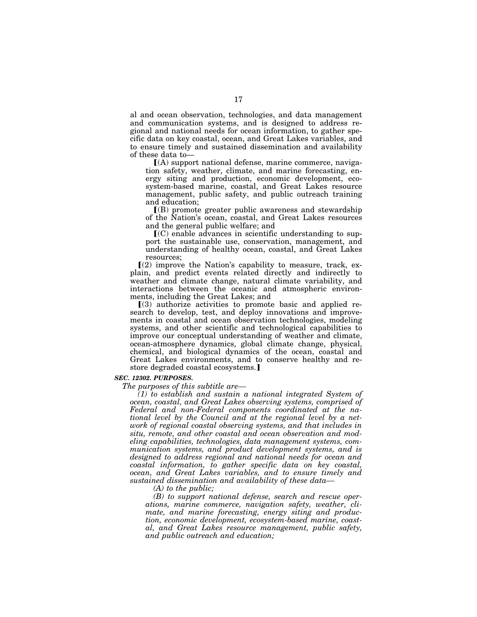al and ocean observation, technologies, and data management and communication systems, and is designed to address regional and national needs for ocean information, to gather specific data on key coastal, ocean, and Great Lakes variables, and to ensure timely and sustained dissemination and availability of these data to—

 $(A)$  support national defense, marine commerce, navigation safety, weather, climate, and marine forecasting, energy siting and production, economic development, ecosystem-based marine, coastal, and Great Lakes resource management, public safety, and public outreach training and education;

 $($ B) promote greater public awareness and stewardship of the Nation's ocean, coastal, and Great Lakes resources and the general public welfare; and

 $\mathbf{C}(C)$  enable advances in scientific understanding to support the sustainable use, conservation, management, and understanding of healthy ocean, coastal, and Great Lakes resources;

 $\Gamma(2)$  improve the Nation's capability to measure, track, explain, and predict events related directly and indirectly to weather and climate change, natural climate variability, and interactions between the oceanic and atmospheric environments, including the Great Lakes; and

 $(3)$  authorize activities to promote basic and applied research to develop, test, and deploy innovations and improvements in coastal and ocean observation technologies, modeling systems, and other scientific and technological capabilities to improve our conceptual understanding of weather and climate, ocean-atmosphere dynamics, global climate change, physical, chemical, and biological dynamics of the ocean, coastal and Great Lakes environments, and to conserve healthy and restore degraded coastal ecosystems.]

### *SEC. 12302. PURPOSES.*

*The purposes of this subtitle are—* 

*(1) to establish and sustain a national integrated System of ocean, coastal, and Great Lakes observing systems, comprised of Federal and non-Federal components coordinated at the national level by the Council and at the regional level by a network of regional coastal observing systems, and that includes in situ, remote, and other coastal and ocean observation and modeling capabilities, technologies, data management systems, communication systems, and product development systems, and is designed to address regional and national needs for ocean and coastal information, to gather specific data on key coastal, ocean, and Great Lakes variables, and to ensure timely and sustained dissemination and availability of these data—* 

*(A) to the public;* 

*(B) to support national defense, search and rescue operations, marine commerce, navigation safety, weather, climate, and marine forecasting, energy siting and production, economic development, ecosystem-based marine, coastal, and Great Lakes resource management, public safety, and public outreach and education;*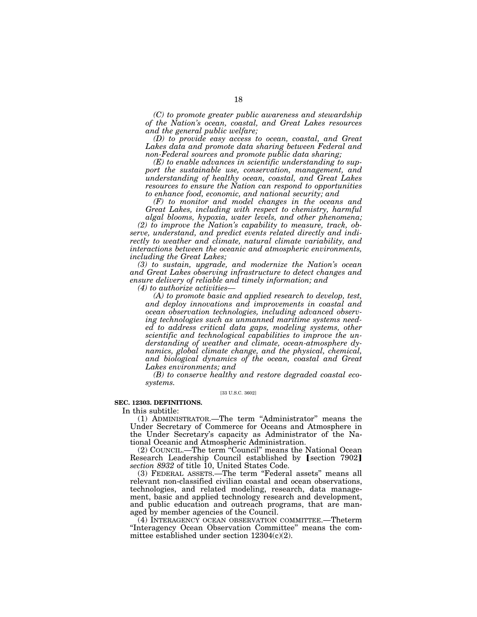*(C) to promote greater public awareness and stewardship of the Nation's ocean, coastal, and Great Lakes resources and the general public welfare;* 

*(D) to provide easy access to ocean, coastal, and Great Lakes data and promote data sharing between Federal and non-Federal sources and promote public data sharing;* 

*(E) to enable advances in scientific understanding to support the sustainable use, conservation, management, and understanding of healthy ocean, coastal, and Great Lakes resources to ensure the Nation can respond to opportunities to enhance food, economic, and national security; and* 

*(F) to monitor and model changes in the oceans and Great Lakes, including with respect to chemistry, harmful algal blooms, hypoxia, water levels, and other phenomena;* 

*(2) to improve the Nation's capability to measure, track, observe, understand, and predict events related directly and indirectly to weather and climate, natural climate variability, and interactions between the oceanic and atmospheric environments, including the Great Lakes;* 

*(3) to sustain, upgrade, and modernize the Nation's ocean and Great Lakes observing infrastructure to detect changes and ensure delivery of reliable and timely information; and* 

*(4) to authorize activities—* 

*(A) to promote basic and applied research to develop, test, and deploy innovations and improvements in coastal and ocean observation technologies, including advanced observing technologies such as unmanned maritime systems needed to address critical data gaps, modeling systems, other scientific and technological capabilities to improve the understanding of weather and climate, ocean-atmosphere dynamics, global climate change, and the physical, chemical, and biological dynamics of the ocean, coastal and Great Lakes environments; and* 

*(B) to conserve healthy and restore degraded coastal ecosystems.* 

[33 U.S.C. 3602]

## **SEC. 12303. DEFINITIONS.**

In this subtitle:

(1) ADMINISTRATOR.—The term ''Administrator'' means the Under Secretary of Commerce for Oceans and Atmosphere in the Under Secretary's capacity as Administrator of the National Oceanic and Atmospheric Administration.

(2) COUNCIL.—The term ''Council'' means the National Ocean Research Leadership Council established by [section 7902] *section 8932* of title 10, United States Code.

(3) FEDERAL ASSETS.—The term ''Federal assets'' means all relevant non-classified civilian coastal and ocean observations, technologies, and related modeling, research, data management, basic and applied technology research and development, and public education and outreach programs, that are managed by member agencies of the Council.

(4) INTERAGENCY OCEAN OBSERVATION COMMITTEE.—Theterm ''Interagency Ocean Observation Committee'' means the committee established under section 12304(c)(2).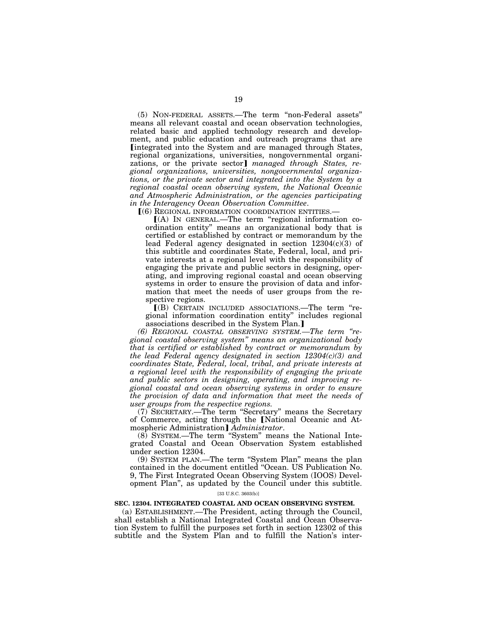(5) NON-FEDERAL ASSETS.—The term ''non-Federal assets'' means all relevant coastal and ocean observation technologies, related basic and applied technology research and development, and public education and outreach programs that are Integrated into the System and are managed through States, regional organizations, universities, nongovernmental organizations, or the private sector] managed through States, re*gional organizations, universities, nongovernmental organizations, or the private sector and integrated into the System by a regional coastal ocean observing system, the National Oceanic and Atmospheric Administration, or the agencies participating in the Interagency Ocean Observation Committee*.

 $(6)$  REGIONAL INFORMATION COORDINATION ENTITIES.—

 $(A)$  In GENERAL.—The term "regional information coordination entity'' means an organizational body that is certified or established by contract or memorandum by the lead Federal agency designated in section  $12304(c)(3)$  of this subtitle and coordinates State, Federal, local, and private interests at a regional level with the responsibility of engaging the private and public sectors in designing, operating, and improving regional coastal and ocean observing systems in order to ensure the provision of data and information that meet the needs of user groups from the respective regions.

ø(B) CERTAIN INCLUDED ASSOCIATIONS.—The term ''regional information coordination entity'' includes regional associations described in the System Plan.]

*(6) REGIONAL COASTAL OBSERVING SYSTEM.—The term ''regional coastal observing system'' means an organizational body that is certified or established by contract or memorandum by the lead Federal agency designated in section 12304(c)(3) and coordinates State, Federal, local, tribal, and private interests at a regional level with the responsibility of engaging the private and public sectors in designing, operating, and improving regional coastal and ocean observing systems in order to ensure the provision of data and information that meet the needs of user groups from the respective regions.* 

(7) SECRETARY.—The term ''Secretary'' means the Secretary of Commerce, acting through the [National Oceanic and Atmospheric Administration] Administrator.

(8) SYSTEM.—The term ''System'' means the National Integrated Coastal and Ocean Observation System established under section 12304.

(9) SYSTEM PLAN.—The term ''System Plan'' means the plan contained in the document entitled ''Ocean. US Publication No. 9, The First Integrated Ocean Observing System (IOOS) Development Plan'', as updated by the Council under this subtitle.

[33 U.S.C. 3603(b)]

### **SEC. 12304. INTEGRATED COASTAL AND OCEAN OBSERVING SYSTEM.**

(a) ESTABLISHMENT.—The President, acting through the Council, shall establish a National Integrated Coastal and Ocean Observation System to fulfill the purposes set forth in section 12302 of this subtitle and the System Plan and to fulfill the Nation's inter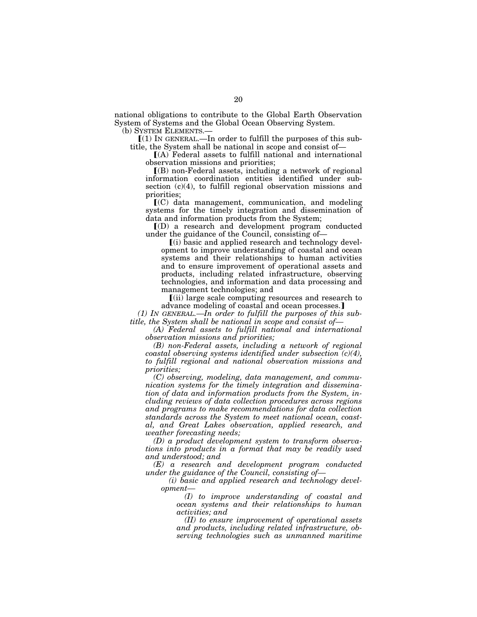national obligations to contribute to the Global Earth Observation System of Systems and the Global Ocean Observing System.

(b) SYSTEM ELEMENTS.—

 $(1)$  In GENERAL.—In order to fulfill the purposes of this subtitle, the System shall be national in scope and consist of—

 $[(A)$  Federal assets to fulfill national and international observation missions and priorities;

 $($ B) non-Federal assets, including a network of regional information coordination entities identified under subsection (c)(4), to fulfill regional observation missions and priorities;

 $\mathbf{I}(C)$  data management, communication, and modeling systems for the timely integration and dissemination of data and information products from the System;

ø(D) a research and development program conducted under the guidance of the Council, consisting of—

 $(i)$  basic and applied research and technology development to improve understanding of coastal and ocean systems and their relationships to human activities and to ensure improvement of operational assets and products, including related infrastructure, observing technologies, and information and data processing and management technologies; and

 $\lceil$ (ii) large scale computing resources and research to advance modeling of coastal and ocean processes.

*(1) IN GENERAL.—In order to fulfill the purposes of this subtitle, the System shall be national in scope and consist of—* 

*(A) Federal assets to fulfill national and international observation missions and priorities;* 

*(B) non-Federal assets, including a network of regional coastal observing systems identified under subsection (c)(4), to fulfill regional and national observation missions and priorities;* 

*(C) observing, modeling, data management, and communication systems for the timely integration and dissemination of data and information products from the System, including reviews of data collection procedures across regions and programs to make recommendations for data collection standards across the System to meet national ocean, coastal, and Great Lakes observation, applied research, and weather forecasting needs;* 

*(D) a product development system to transform observations into products in a format that may be readily used and understood; and* 

*(E) a research and development program conducted under the guidance of the Council, consisting of—* 

*(i) basic and applied research and technology development—* 

*(I) to improve understanding of coastal and ocean systems and their relationships to human activities; and* 

*(II) to ensure improvement of operational assets and products, including related infrastructure, observing technologies such as unmanned maritime*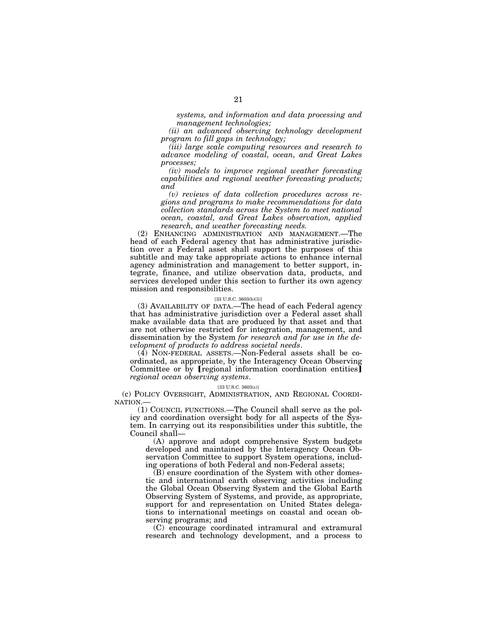*systems, and information and data processing and management technologies;* 

*(ii) an advanced observing technology development program to fill gaps in technology;* 

*(iii) large scale computing resources and research to advance modeling of coastal, ocean, and Great Lakes processes;* 

*(iv) models to improve regional weather forecasting capabilities and regional weather forecasting products; and* 

*(v) reviews of data collection procedures across regions and programs to make recommendations for data collection standards across the System to meet national ocean, coastal, and Great Lakes observation, applied research, and weather forecasting needs.* 

(2) ENHANCING ADMINISTRATION AND MANAGEMENT.—The head of each Federal agency that has administrative jurisdiction over a Federal asset shall support the purposes of this subtitle and may take appropriate actions to enhance internal agency administration and management to better support, integrate, finance, and utilize observation data, products, and services developed under this section to further its own agency mission and responsibilities.

### [33 U.S.C. 3603(b)(3)]

(3) AVAILABILITY OF DATA.—The head of each Federal agency that has administrative jurisdiction over a Federal asset shall make available data that are produced by that asset and that are not otherwise restricted for integration, management, and dissemination by the System *for research and for use in the development of products to address societal needs*.

(4) NON-FEDERAL ASSETS.—Non-Federal assets shall be coordinated, as appropriate, by the Interagency Ocean Observing Committee or by [regional information coordination entities] *regional ocean observing systems*.

### [33 U.S.C. 3603(c)]

(c) POLICY OVERSIGHT, ADMINISTRATION, AND REGIONAL COORDI-NATION.

(1) COUNCIL FUNCTIONS.—The Council shall serve as the policy and coordination oversight body for all aspects of the System. In carrying out its responsibilities under this subtitle, the Council shall—

(A) approve and adopt comprehensive System budgets developed and maintained by the Interagency Ocean Observation Committee to support System operations, including operations of both Federal and non-Federal assets;

(B) ensure coordination of the System with other domestic and international earth observing activities including the Global Ocean Observing System and the Global Earth Observing System of Systems, and provide, as appropriate, support for and representation on United States delegations to international meetings on coastal and ocean observing programs; and

(C) encourage coordinated intramural and extramural research and technology development, and a process to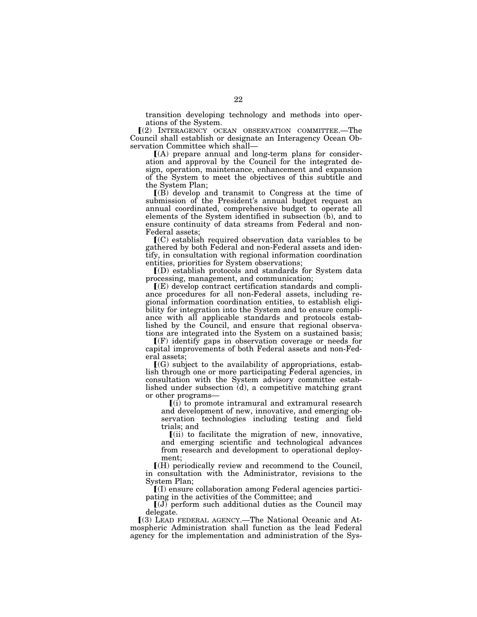transition developing technology and methods into operations of the System.

ø(2) INTERAGENCY OCEAN OBSERVATION COMMITTEE.—The Council shall establish or designate an Interagency Ocean Observation Committee which shall—

 $(A)$  prepare annual and long-term plans for consideration and approval by the Council for the integrated design, operation, maintenance, enhancement and expansion of the System to meet the objectives of this subtitle and the System Plan;

ø(B) develop and transmit to Congress at the time of submission of the President's annual budget request an annual coordinated, comprehensive budget to operate all elements of the System identified in subsection (b), and to ensure continuity of data streams from Federal and non-Federal assets;

 $\mathbf{I}(C)$  establish required observation data variables to be gathered by both Federal and non-Federal assets and identify, in consultation with regional information coordination entities, priorities for System observations;

 $\Gamma(D)$  establish protocols and standards for System data processing, management, and communication;

ø(E) develop contract certification standards and compliance procedures for all non-Federal assets, including regional information coordination entities, to establish eligibility for integration into the System and to ensure compliance with all applicable standards and protocols established by the Council, and ensure that regional observations are integrated into the System on a sustained basis;

 $\Gamma(F)$  identify gaps in observation coverage or needs for capital improvements of both Federal assets and non-Federal assets;

 $[(G)$  subject to the availability of appropriations, establish through one or more participating Federal agencies, in consultation with the System advisory committee established under subsection (d), a competitive matching grant or other programs—

 $(i)$  to promote intramural and extramural research and development of new, innovative, and emerging observation technologies including testing and field trials; and

 $\left[$ (ii) to facilitate the migration of new, innovative, and emerging scientific and technological advances from research and development to operational deployment;

 $\mathbb{I}(\mathcal{H})$  periodically review and recommend to the Council, in consultation with the Administrator, revisions to the System Plan;

ø(I) ensure collaboration among Federal agencies participating in the activities of the Committee; and

 $[(J)$  perform such additional duties as the Council may delegate.

ø(3) LEAD FEDERAL AGENCY.—The National Oceanic and Atmospheric Administration shall function as the lead Federal agency for the implementation and administration of the Sys-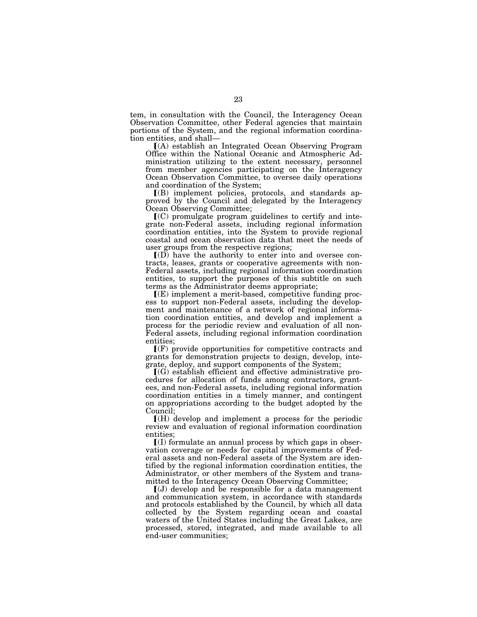tem, in consultation with the Council, the Interagency Ocean Observation Committee, other Federal agencies that maintain portions of the System, and the regional information coordination entities, and shall—

ø(A) establish an Integrated Ocean Observing Program Office within the National Oceanic and Atmospheric Administration utilizing to the extent necessary, personnel from member agencies participating on the Interagency Ocean Observation Committee, to oversee daily operations and coordination of the System;

ø(B) implement policies, protocols, and standards approved by the Council and delegated by the Interagency Ocean Observing Committee;

 $\mathbf{I}(\mathbf{C})$  promulgate program guidelines to certify and integrate non-Federal assets, including regional information coordination entities, into the System to provide regional coastal and ocean observation data that meet the needs of user groups from the respective regions;

 $I(D)$  have the authority to enter into and oversee contracts, leases, grants or cooperative agreements with non-Federal assets, including regional information coordination entities, to support the purposes of this subtitle on such terms as the Administrator deems appropriate;

 $I(E)$  implement a merit-based, competitive funding process to support non-Federal assets, including the development and maintenance of a network of regional information coordination entities, and develop and implement a process for the periodic review and evaluation of all non-Federal assets, including regional information coordination entities;

 $\Gamma(F)$  provide opportunities for competitive contracts and grants for demonstration projects to design, develop, integrate, deploy, and support components of the System;

 $(G)$  establish efficient and effective administrative procedures for allocation of funds among contractors, grantees, and non-Federal assets, including regional information coordination entities in a timely manner, and contingent on appropriations according to the budget adopted by the Council;

 $\Gamma(H)$  develop and implement a process for the periodic review and evaluation of regional information coordination entities;

 $\mathbf{I}(I)$  formulate an annual process by which gaps in observation coverage or needs for capital improvements of Federal assets and non-Federal assets of the System are identified by the regional information coordination entities, the Administrator, or other members of the System and transmitted to the Interagency Ocean Observing Committee;

 $\left[\left(J\right)\right]$  develop and be responsible for a data management and communication system, in accordance with standards and protocols established by the Council, by which all data collected by the System regarding ocean and coastal waters of the United States including the Great Lakes, are processed, stored, integrated, and made available to all end-user communities;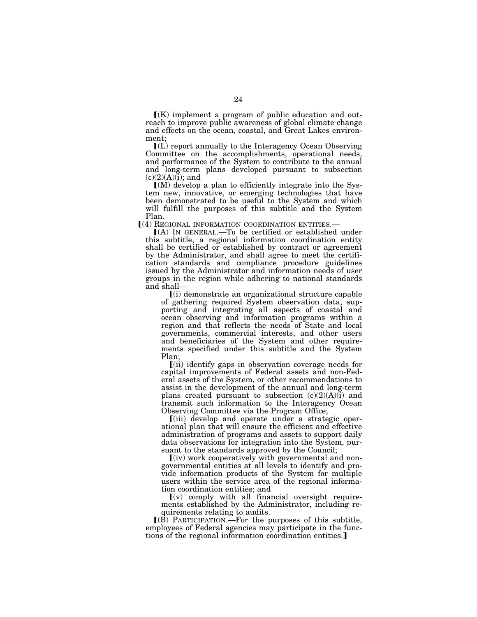$K(K)$  implement a program of public education and outreach to improve public awareness of global climate change and effects on the ocean, coastal, and Great Lakes environment;

 $\mathbf{L}(\mathbf{L})$  report annually to the Interagency Ocean Observing Committee on the accomplishments, operational needs, and performance of the System to contribute to the annual and long-term plans developed pursuant to subsection  $(c)(2)(A)(i)$ ; and

 $(M)$  develop a plan to efficiently integrate into the System new, innovative, or emerging technologies that have been demonstrated to be useful to the System and which will fulfill the purposes of this subtitle and the System Plan.

ø(4) REGIONAL INFORMATION COORDINATION ENTITIES.—

 $(A)$  In GENERAL.—To be certified or established under this subtitle, a regional information coordination entity shall be certified or established by contract or agreement by the Administrator, and shall agree to meet the certification standards and compliance procedure guidelines issued by the Administrator and information needs of user groups in the region while adhering to national standards and shall—

 $(i)$  demonstrate an organizational structure capable of gathering required System observation data, supporting and integrating all aspects of coastal and ocean observing and information programs within a region and that reflects the needs of State and local governments, commercial interests, and other users and beneficiaries of the System and other requirements specified under this subtitle and the System Plan;

ø(ii) identify gaps in observation coverage needs for capital improvements of Federal assets and non-Federal assets of the System, or other recommendations to assist in the development of the annual and long-term plans created pursuant to subsection  $(c)(2)(A)(i)$  and transmit such information to the Interagency Ocean Observing Committee via the Program Office;

ø(iii) develop and operate under a strategic operational plan that will ensure the efficient and effective administration of programs and assets to support daily data observations for integration into the System, pursuant to the standards approved by the Council;

 $(iv)$  work cooperatively with governmental and nongovernmental entities at all levels to identify and provide information products of the System for multiple users within the service area of the regional information coordination entities; and

 $(v)$  comply with all financial oversight requirements established by the Administrator, including requirements relating to audits.

 $I(B)$  PARTICIPATION.—For the purposes of this subtitle, employees of Federal agencies may participate in the functions of the regional information coordination entities.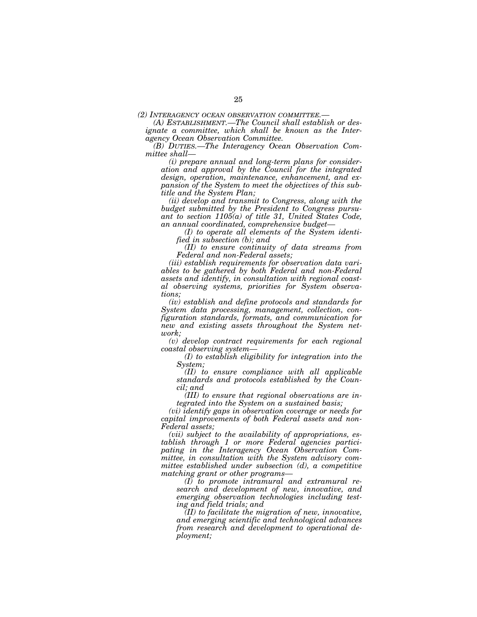*(2) INTERAGENCY OCEAN OBSERVATION COMMITTEE.— (A) ESTABLISHMENT.—The Council shall establish or designate a committee, which shall be known as the Interagency Ocean Observation Committee.* 

*(B) DUTIES.—The Interagency Ocean Observation Committee shall—* 

*(i) prepare annual and long-term plans for consideration and approval by the Council for the integrated design, operation, maintenance, enhancement, and expansion of the System to meet the objectives of this subtitle and the System Plan;* 

*(ii) develop and transmit to Congress, along with the budget submitted by the President to Congress pursuant to section 1105(a) of title 31, United States Code, an annual coordinated, comprehensive budget—* 

*(I) to operate all elements of the System identified in subsection (b); and* 

*(II) to ensure continuity of data streams from Federal and non-Federal assets;* 

*(iii) establish requirements for observation data variables to be gathered by both Federal and non-Federal assets and identify, in consultation with regional coastal observing systems, priorities for System observations;* 

*(iv) establish and define protocols and standards for System data processing, management, collection, configuration standards, formats, and communication for new and existing assets throughout the System network;* 

*(v) develop contract requirements for each regional coastal observing system—* 

*(I) to establish eligibility for integration into the System;* 

*(II) to ensure compliance with all applicable standards and protocols established by the Council; and* 

*(III) to ensure that regional observations are integrated into the System on a sustained basis;* 

*(vi) identify gaps in observation coverage or needs for capital improvements of both Federal assets and non-Federal assets;* 

*(vii) subject to the availability of appropriations, establish through 1 or more Federal agencies participating in the Interagency Ocean Observation Committee, in consultation with the System advisory committee established under subsection (d), a competitive matching grant or other programs—* 

*(I) to promote intramural and extramural research and development of new, innovative, and emerging observation technologies including testing and field trials; and* 

*(II) to facilitate the migration of new, innovative, and emerging scientific and technological advances from research and development to operational deployment;*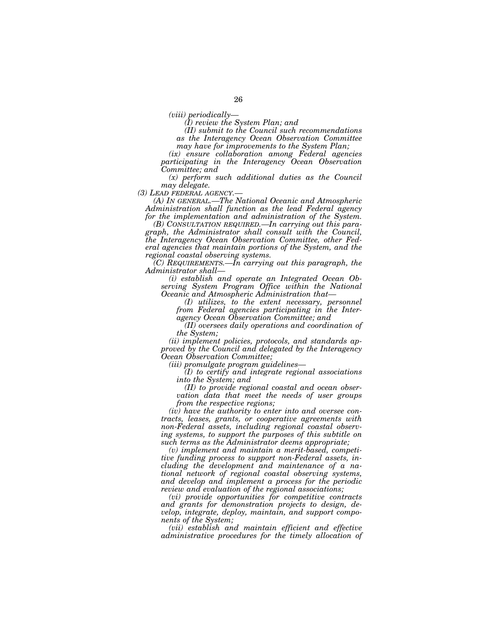*(I) review the System Plan; and* 

*(II) submit to the Council such recommendations as the Interagency Ocean Observation Committee* 

*may have for improvements to the System Plan;* 

*(ix) ensure collaboration among Federal agencies participating in the Interagency Ocean Observation Committee; and* 

*(x) perform such additional duties as the Council* 

*may delegate.*<br>(3) LEAD FEDERAL AGENCY.-

*(A) In GENERAL.—The National Oceanic and Atmospheric Administration shall function as the lead Federal agency for the implementation and administration of the System.* 

*(B) CONSULTATION REQUIRED.—In carrying out this paragraph, the Administrator shall consult with the Council, the Interagency Ocean Observation Committee, other Federal agencies that maintain portions of the System, and the regional coastal observing systems.* 

*(C) REQUIREMENTS.—In carrying out this paragraph, the Administrator shall—* 

*(i) establish and operate an Integrated Ocean Observing System Program Office within the National Oceanic and Atmospheric Administration that—* 

*(I) utilizes, to the extent necessary, personnel from Federal agencies participating in the Interagency Ocean Observation Committee; and* 

*(II) oversees daily operations and coordination of the System;* 

*(ii) implement policies, protocols, and standards approved by the Council and delegated by the Interagency Ocean Observation Committee;* 

*(iii) promulgate program guidelines—* 

*(I) to certify and integrate regional associations into the System; and* 

*(II) to provide regional coastal and ocean observation data that meet the needs of user groups from the respective regions;* 

*(iv) have the authority to enter into and oversee contracts, leases, grants, or cooperative agreements with non-Federal assets, including regional coastal observing systems, to support the purposes of this subtitle on such terms as the Administrator deems appropriate;* 

*(v) implement and maintain a merit-based, competitive funding process to support non-Federal assets, including the development and maintenance of a national network of regional coastal observing systems, and develop and implement a process for the periodic review and evaluation of the regional associations;* 

*(vi) provide opportunities for competitive contracts and grants for demonstration projects to design, develop, integrate, deploy, maintain, and support components of the System;* 

*(vii) establish and maintain efficient and effective administrative procedures for the timely allocation of*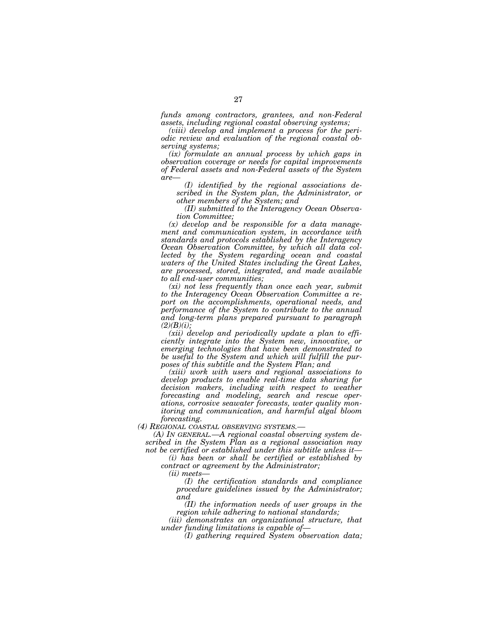*funds among contractors, grantees, and non-Federal assets, including regional coastal observing systems;* 

*(viii) develop and implement a process for the periodic review and evaluation of the regional coastal observing systems;* 

*(ix) formulate an annual process by which gaps in observation coverage or needs for capital improvements of Federal assets and non-Federal assets of the System are—* 

*(I) identified by the regional associations described in the System plan, the Administrator, or other members of the System; and* 

*(II) submitted to the Interagency Ocean Observation Committee;* 

*(x) develop and be responsible for a data management and communication system, in accordance with standards and protocols established by the Interagency Ocean Observation Committee, by which all data collected by the System regarding ocean and coastal waters of the United States including the Great Lakes, are processed, stored, integrated, and made available to all end-user communities;* 

*(xi) not less frequently than once each year, submit to the Interagency Ocean Observation Committee a report on the accomplishments, operational needs, and performance of the System to contribute to the annual and long-term plans prepared pursuant to paragraph (2)(B)(i);* 

*(xii) develop and periodically update a plan to efficiently integrate into the System new, innovative, or emerging technologies that have been demonstrated to be useful to the System and which will fulfill the purposes of this subtitle and the System Plan; and* 

*(xiii) work with users and regional associations to develop products to enable real-time data sharing for decision makers, including with respect to weather forecasting and modeling, search and rescue operations, corrosive seawater forecasts, water quality monitoring and communication, and harmful algal bloom forecasting.* 

*(4) REGIONAL COASTAL OBSERVING SYSTEMS.—* 

*(A) IN GENERAL.—A regional coastal observing system described in the System Plan as a regional association may not be certified or established under this subtitle unless it—* 

*(i) has been or shall be certified or established by contract or agreement by the Administrator;* 

*(ii) meets—* 

*(I) the certification standards and compliance procedure guidelines issued by the Administrator; and* 

*(II) the information needs of user groups in the region while adhering to national standards;* 

*(iii) demonstrates an organizational structure, that under funding limitations is capable of—* 

*(I) gathering required System observation data;*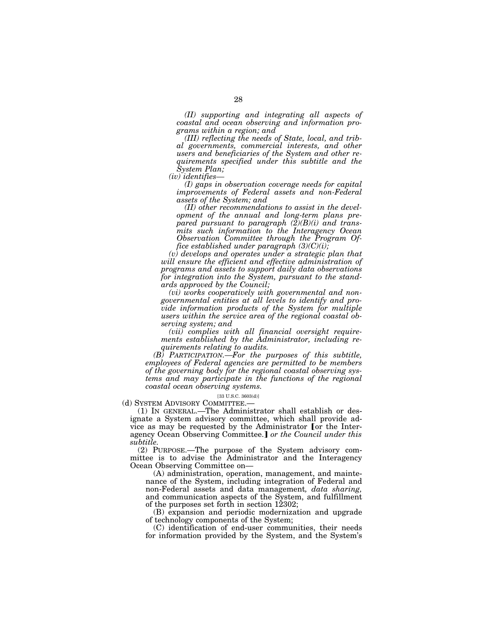*(II) supporting and integrating all aspects of coastal and ocean observing and information programs within a region; and* 

*(III) reflecting the needs of State, local, and tribal governments, commercial interests, and other users and beneficiaries of the System and other requirements specified under this subtitle and the System Plan;* 

*(iv) identifies—* 

*(I) gaps in observation coverage needs for capital improvements of Federal assets and non-Federal assets of the System; and* 

*(II) other recommendations to assist in the development of the annual and long-term plans prepared pursuant to paragraph (2)(B)(i) and transmits such information to the Interagency Ocean Observation Committee through the Program Office established under paragraph (3)(C)(i);* 

*(v) develops and operates under a strategic plan that will ensure the efficient and effective administration of programs and assets to support daily data observations for integration into the System, pursuant to the standards approved by the Council;* 

*(vi) works cooperatively with governmental and nongovernmental entities at all levels to identify and provide information products of the System for multiple users within the service area of the regional coastal observing system; and* 

*(vii) complies with all financial oversight requirements established by the Administrator, including requirements relating to audits.* 

*(B) PARTICIPATION.—For the purposes of this subtitle, employees of Federal agencies are permitted to be members of the governing body for the regional coastal observing systems and may participate in the functions of the regional coastal ocean observing systems.* 

### [33 U.S.C. 3603(d)]

(d) SYSTEM ADVISORY COMMITTEE.—

(1) IN GENERAL.—The Administrator shall establish or designate a System advisory committee, which shall provide advice as may be requested by the Administrator [or the Interagency Ocean Observing Committee.] or the Council under this *subtitle.* 

(2) PURPOSE.—The purpose of the System advisory committee is to advise the Administrator and the Interagency Ocean Observing Committee on—

(A) administration, operation, management, and maintenance of the System, including integration of Federal and non-Federal assets and data management*, data sharing,*  and communication aspects of the System, and fulfillment of the purposes set forth in section 12302;

(B) expansion and periodic modernization and upgrade of technology components of the System;

(C) identification of end-user communities, their needs for information provided by the System, and the System's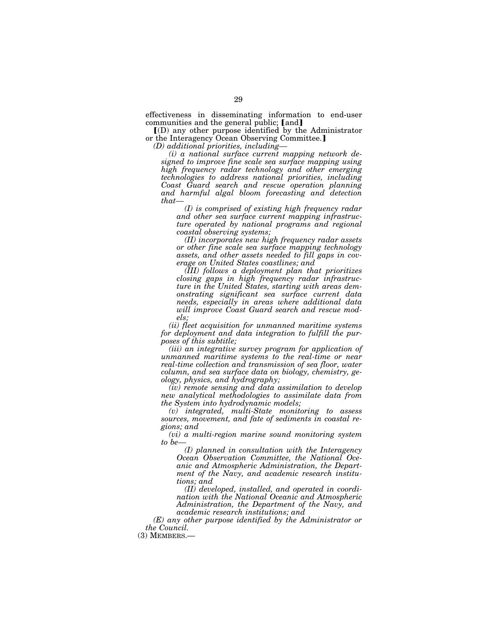effectiveness in disseminating information to end-user communities and the general public; [and]

ø(D) any other purpose identified by the Administrator or the Interagency Ocean Observing Committee.]

*(D) additional priorities, including—* 

*(i) a national surface current mapping network designed to improve fine scale sea surface mapping using high frequency radar technology and other emerging technologies to address national priorities, including Coast Guard search and rescue operation planning and harmful algal bloom forecasting and detection that—* 

*(I) is comprised of existing high frequency radar and other sea surface current mapping infrastructure operated by national programs and regional coastal observing systems;* 

*(II) incorporates new high frequency radar assets or other fine scale sea surface mapping technology assets, and other assets needed to fill gaps in coverage on United States coastlines; and* 

*(III) follows a deployment plan that prioritizes closing gaps in high frequency radar infrastructure in the United States, starting with areas demonstrating significant sea surface current data needs, especially in areas where additional data will improve Coast Guard search and rescue models;* 

*(ii) fleet acquisition for unmanned maritime systems for deployment and data integration to fulfill the purposes of this subtitle;* 

*(iii) an integrative survey program for application of unmanned maritime systems to the real-time or near real-time collection and transmission of sea floor, water column, and sea surface data on biology, chemistry, geology, physics, and hydrography;* 

*(iv) remote sensing and data assimilation to develop new analytical methodologies to assimilate data from the System into hydrodynamic models;* 

*(v) integrated, multi-State monitoring to assess sources, movement, and fate of sediments in coastal regions; and* 

*(vi) a multi-region marine sound monitoring system to be—* 

*(I) planned in consultation with the Interagency Ocean Observation Committee, the National Oceanic and Atmospheric Administration, the Department of the Navy, and academic research institutions; and* 

*(II) developed, installed, and operated in coordination with the National Oceanic and Atmospheric Administration, the Department of the Navy, and academic research institutions; and* 

*(E) any other purpose identified by the Administrator or the Council.* 

(3) MEMBERS.—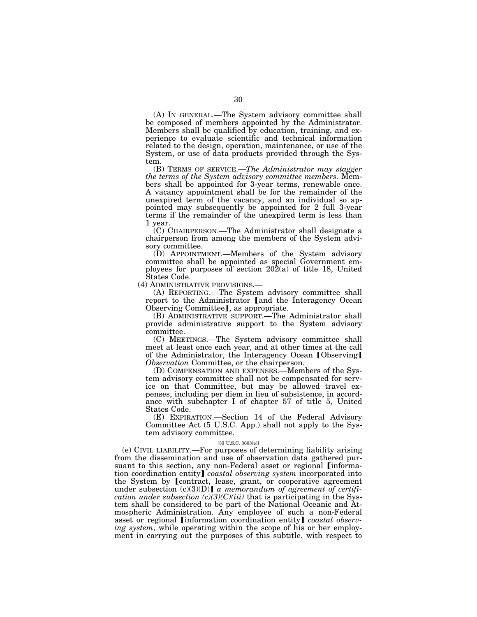(A) IN GENERAL.—The System advisory committee shall be composed of members appointed by the Administrator. Members shall be qualified by education, training, and experience to evaluate scientific and technical information related to the design, operation, maintenance, or use of the System, or use of data products provided through the System.

(B) TERMS OF SERVICE.—*The Administrator may stagger the terms of the System advisory committee members.* Members shall be appointed for 3-year terms, renewable once. A vacancy appointment shall be for the remainder of the unexpired term of the vacancy, and an individual so appointed may subsequently be appointed for 2 full 3-year terms if the remainder of the unexpired term is less than 1 year.

(C) CHAIRPERSON.—The Administrator shall designate a chairperson from among the members of the System advisory committee.

(D) APPOINTMENT.—Members of the System advisory committee shall be appointed as special Government employees for purposes of section  $20\overline{2}(a)$  of title 18, United States Code.

(4) ADMINISTRATIVE PROVISIONS.—

(A) REPORTING.—The System advisory committee shall report to the Administrator [and the Interagency Ocean Observing Committee], as appropriate.

(B) ADMINISTRATIVE SUPPORT.—The Administrator shall provide administrative support to the System advisory committee.

(C) MEETINGS.—The System advisory committee shall meet at least once each year, and at other times at the call of the Administrator, the Interagency Ocean [Observing] *Observation* Committee, or the chairperson.

(D) COMPENSATION AND EXPENSES.—Members of the System advisory committee shall not be compensated for service on that Committee, but may be allowed travel expenses, including per diem in lieu of subsistence, in accordance with subchapter I of chapter 57 of title 5, United States Code.

(E) EXPIRATION.—Section 14 of the Federal Advisory Committee Act (5 U.S.C. App.) shall not apply to the System advisory committee.

### [33 U.S.C. 3603(e)]

(e) CIVIL LIABILITY.—For purposes of determining liability arising from the dissemination and use of observation data gathered pursuant to this section, any non-Federal asset or regional *[informa*tion coordination entity] *coastal observing system* incorporated into the System by [contract, lease, grant, or cooperative agreement under subsection (c)(3)(D)] *a memorandum of agreement of certification under subsection*  $\widehat{c}(3)(C)(iii)$  that is participating in the System shall be considered to be part of the National Oceanic and Atmospheric Administration. Any employee of such a non-Federal asset or regional *[information coordination entity] coastal observing system*, while operating within the scope of his or her employment in carrying out the purposes of this subtitle, with respect to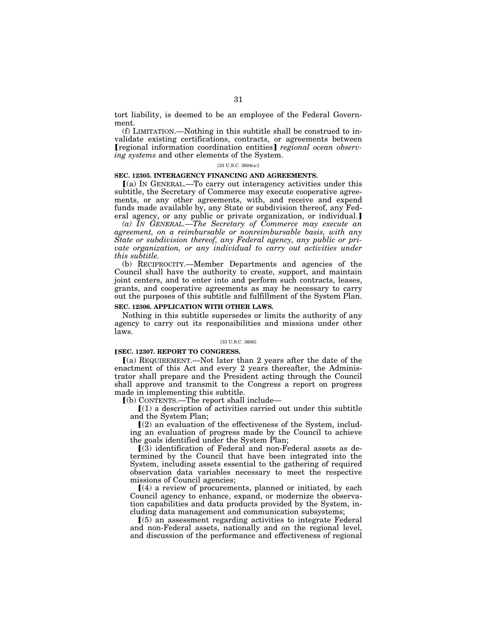tort liability, is deemed to be an employee of the Federal Government.

(f) LIMITATION.—Nothing in this subtitle shall be construed to invalidate existing certifications, contracts, or agreements between **[regional information coordination entities]** regional ocean observ*ing systems* and other elements of the System.

## [33 U.S.C. 3604(a)]

## **SEC. 12305. INTERAGENCY FINANCING AND AGREEMENTS.**

 $(a)$  In GENERAL.—To carry out interagency activities under this subtitle, the Secretary of Commerce may execute cooperative agreements, or any other agreements, with, and receive and expend funds made available by, any State or subdivision thereof, any Federal agency, or any public or private organization, or individual.]

*(a) IN GENERAL.—The Secretary of Commerce may execute an agreement, on a reimbursable or nonreimbursable basis, with any State or subdivision thereof, any Federal agency, any public or private organization, or any individual to carry out activities under this subtitle.* 

(b) RECIPROCITY.—Member Departments and agencies of the Council shall have the authority to create, support, and maintain joint centers, and to enter into and perform such contracts, leases, grants, and cooperative agreements as may be necessary to carry out the purposes of this subtitle and fulfillment of the System Plan.

### **SEC. 12306. APPLICATION WITH OTHER LAWS.**

Nothing in this subtitle supersedes or limits the authority of any agency to carry out its responsibilities and missions under other laws.

## [33 U.S.C. 3606]

### **[SEC. 12307. REPORT TO CONGRESS.**

ø(a) REQUIREMENT.—Not later than 2 years after the date of the enactment of this Act and every 2 years thereafter, the Administrator shall prepare and the President acting through the Council shall approve and transmit to the Congress a report on progress made in implementing this subtitle.

 $(a)$  CONTENTS.—The report shall include—

 $(1)$  a description of activities carried out under this subtitle and the System Plan;

 $(2)$  an evaluation of the effectiveness of the System, including an evaluation of progress made by the Council to achieve the goals identified under the System Plan;

 $(3)$  identification of Federal and non-Federal assets as determined by the Council that have been integrated into the System, including assets essential to the gathering of required observation data variables necessary to meet the respective missions of Council agencies;

 $(A)$  a review of procurements, planned or initiated, by each Council agency to enhance, expand, or modernize the observation capabilities and data products provided by the System, including data management and communication subsystems;

 $(5)$  an assessment regarding activities to integrate Federal and non-Federal assets, nationally and on the regional level, and discussion of the performance and effectiveness of regional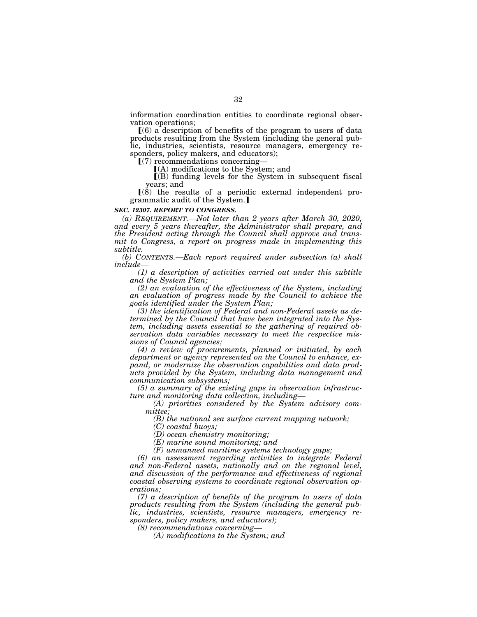information coordination entities to coordinate regional observation operations;

 $(6)$  a description of benefits of the program to users of data products resulting from the System (including the general public, industries, scientists, resource managers, emergency responders, policy makers, and educators);

 $(7)$  recommendations concerning-

 $(A)$  modifications to the System; and

 $\Gamma(B)$  funding levels for the System in subsequent fiscal years; and

 $(8)$  the results of a periodic external independent programmatic audit of the System.]

## *SEC. 12307. REPORT TO CONGRESS.*

*(a) REQUIREMENT.—Not later than 2 years after March 30, 2020, and every 5 years thereafter, the Administrator shall prepare, and the President acting through the Council shall approve and transmit to Congress, a report on progress made in implementing this subtitle.* 

*(b) CONTENTS.—Each report required under subsection (a) shall include—* 

*(1) a description of activities carried out under this subtitle and the System Plan;* 

*(2) an evaluation of the effectiveness of the System, including an evaluation of progress made by the Council to achieve the goals identified under the System Plan;* 

*(3) the identification of Federal and non-Federal assets as determined by the Council that have been integrated into the System, including assets essential to the gathering of required observation data variables necessary to meet the respective missions of Council agencies;* 

*(4) a review of procurements, planned or initiated, by each department or agency represented on the Council to enhance, expand, or modernize the observation capabilities and data products provided by the System, including data management and communication subsystems;* 

*(5) a summary of the existing gaps in observation infrastructure and monitoring data collection, including—* 

*(A) priorities considered by the System advisory committee;* 

*(B) the national sea surface current mapping network;* 

*(C) coastal buoys;* 

*(D) ocean chemistry monitoring;* 

*(E) marine sound monitoring; and* 

*(F) unmanned maritime systems technology gaps;* 

*(6) an assessment regarding activities to integrate Federal and non-Federal assets, nationally and on the regional level, and discussion of the performance and effectiveness of regional coastal observing systems to coordinate regional observation operations;* 

*(7) a description of benefits of the program to users of data products resulting from the System (including the general public, industries, scientists, resource managers, emergency responders, policy makers, and educators);* 

*(8) recommendations concerning—* 

*(A) modifications to the System; and*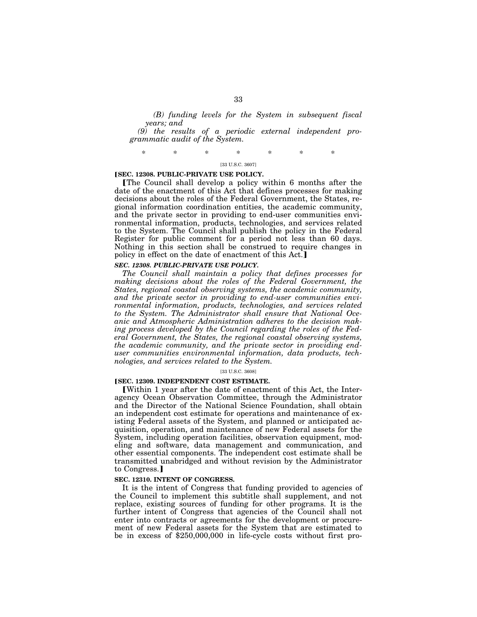*(B) funding levels for the System in subsequent fiscal years; and* 

*(9) the results of a periodic external independent programmatic audit of the System.* 

\* \* \* \* \* \* \*

## [33 U.S.C. 3607]

### **[SEC. 12308. PUBLIC-PRIVATE USE POLICY.**

øThe Council shall develop a policy within 6 months after the date of the enactment of this Act that defines processes for making decisions about the roles of the Federal Government, the States, regional information coordination entities, the academic community, and the private sector in providing to end-user communities environmental information, products, technologies, and services related to the System. The Council shall publish the policy in the Federal Register for public comment for a period not less than 60 days. Nothing in this section shall be construed to require changes in policy in effect on the date of enactment of this Act.

## *SEC. 12308. PUBLIC-PRIVATE USE POLICY.*

*The Council shall maintain a policy that defines processes for*  making decisions about the roles of the Federal Government, the *States, regional coastal observing systems, the academic community, and the private sector in providing to end-user communities environmental information, products, technologies, and services related to the System. The Administrator shall ensure that National Oceanic and Atmospheric Administration adheres to the decision making process developed by the Council regarding the roles of the Federal Government, the States, the regional coastal observing systems, the academic community, and the private sector in providing enduser communities environmental information, data products, technologies, and services related to the System.* 

#### [33 U.S.C. 3608]

### **[SEC. 12309. INDEPENDENT COST ESTIMATE.**

øWithin 1 year after the date of enactment of this Act, the Interagency Ocean Observation Committee, through the Administrator and the Director of the National Science Foundation, shall obtain an independent cost estimate for operations and maintenance of existing Federal assets of the System, and planned or anticipated acquisition, operation, and maintenance of new Federal assets for the System, including operation facilities, observation equipment, modeling and software, data management and communication, and other essential components. The independent cost estimate shall be transmitted unabridged and without revision by the Administrator to Congress.

## **SEC. 12310. INTENT OF CONGRESS.**

It is the intent of Congress that funding provided to agencies of the Council to implement this subtitle shall supplement, and not replace, existing sources of funding for other programs. It is the further intent of Congress that agencies of the Council shall not enter into contracts or agreements for the development or procurement of new Federal assets for the System that are estimated to be in excess of \$250,000,000 in life-cycle costs without first pro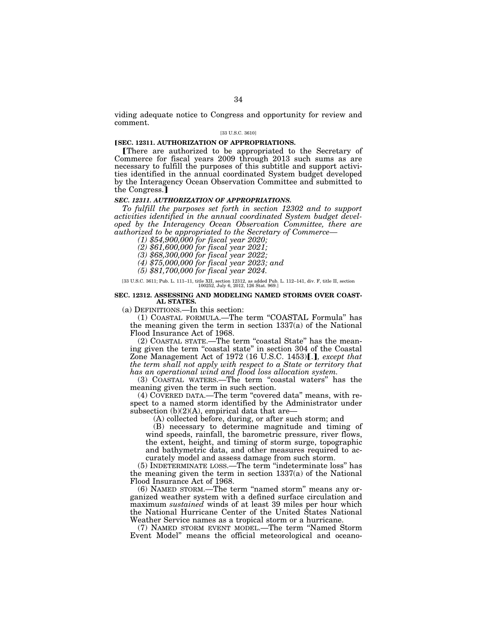viding adequate notice to Congress and opportunity for review and comment.

### [33 U.S.C. 3610]

## **[SEC. 12311. AUTHORIZATION OF APPROPRIATIONS.**

øThere are authorized to be appropriated to the Secretary of Commerce for fiscal years 2009 through 2013 such sums as are necessary to fulfill the purposes of this subtitle and support activities identified in the annual coordinated System budget developed by the Interagency Ocean Observation Committee and submitted to the Congress.

## *SEC. 12311. AUTHORIZATION OF APPROPRIATIONS.*

*To fulfill the purposes set forth in section 12302 and to support activities identified in the annual coordinated System budget developed by the Interagency Ocean Observation Committee, there are authorized to be appropriated to the Secretary of Commerce— (1) \$54,900,000 for fiscal year 2020;* 

*(2) \$61,600,000 for fiscal year 2021;* 

*(3) \$68,300,000 for fiscal year 2022;* 

*(4) \$75,000,000 for fiscal year 2023; and* 

*(5) \$81,700,000 for fiscal year 2024.* 

[33 U.S.C. 3611; Pub. L. 111–11, title XII, section 12312, as added Pub. L. 112–141, div. F, title II, section 100252, July 6, 2012, 126 Stat. 969.]

### **SEC. 12312. ASSESSING AND MODELING NAMED STORMS OVER COAST-AL STATES.**

(a) DEFINITIONS.—In this section:

(1) COASTAL FORMULA.—The term ''COASTAL Formula'' has the meaning given the term in section 1337(a) of the National Flood Insurance Act of 1968.

(2) COASTAL STATE.—The term ''coastal State'' has the meaning given the term ''coastal state'' in section 304 of the Coastal Zone Management Act of 1972 (16 U.S.C. 1453)[.], except that *the term shall not apply with respect to a State or territory that has an operational wind and flood loss allocation system.* 

(3) COASTAL WATERS.—The term ''coastal waters'' has the meaning given the term in such section.

(4) COVERED DATA.—The term ''covered data'' means, with respect to a named storm identified by the Administrator under subsection  $(b)(2)(A)$ , empirical data that are-

(A) collected before, during, or after such storm; and

(B) necessary to determine magnitude and timing of wind speeds, rainfall, the barometric pressure, river flows, the extent, height, and timing of storm surge, topographic and bathymetric data, and other measures required to accurately model and assess damage from such storm.

(5) INDETERMINATE LOSS.—The term ''indeterminate loss'' has the meaning given the term in section 1337(a) of the National Flood Insurance Act of 1968.

(6) NAMED STORM.—The term ''named storm'' means any organized weather system with a defined surface circulation and maximum *sustained* winds of at least 39 miles per hour which the National Hurricane Center of the United States National Weather Service names as a tropical storm or a hurricane.

(7) NAMED STORM EVENT MODEL.—The term ''Named Storm Event Model'' means the official meteorological and oceano-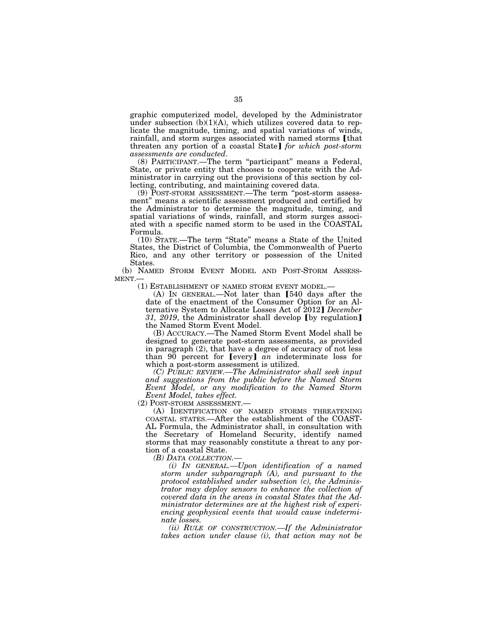graphic computerized model, developed by the Administrator under subsection  $(b)(1)(A)$ , which utilizes covered data to replicate the magnitude, timing, and spatial variations of winds, rainfall, and storm surges associated with named storms [that threaten any portion of a coastal State] *for which post-storm assessments are conducted*.

*assessments are conducted*. (8) PARTICIPANT.—The term ''participant'' means a Federal, State, or private entity that chooses to cooperate with the Administrator in carrying out the provisions of this section by collecting, contributing, and maintaining covered data.

(9) POST-STORM ASSESSMENT.—The term ''post-storm assessment'' means a scientific assessment produced and certified by the Administrator to determine the magnitude, timing, and spatial variations of winds, rainfall, and storm surges associated with a specific named storm to be used in the COASTAL Formula.

(10) STATE.—The term ''State'' means a State of the United States, the District of Columbia, the Commonwealth of Puerto Rico, and any other territory or possession of the United States.

(b) NAMED STORM EVENT MODEL AND POST-STORM ASSESSMENT.—  $(1)$  ESTABLISHMENT OF NAMED STORM EVENT MODEL.—

(A) IN GENERAL.—Not later than [540 days after the date of the enactment of the Consumer Option for an Alternative System to Allocate Losses Act of 2012¿ *December*  31, 2019, the Administrator shall develop [by regulation] the Named Storm Event Model.

(B) ACCURACY.—The Named Storm Event Model shall be designed to generate post-storm assessments, as provided in paragraph (2), that have a degree of accuracy of not less than  $90$  percent for [every]  $\bar{a}n$  indeterminate loss for which a post-storm assessment is utilized.

*(C) PUBLIC REVIEW.—The Administrator shall seek input and suggestions from the public before the Named Storm Event Model, or any modification to the Named Storm Event Model, takes effect.* 

(A) IDENTIFICATION OF NAMED STORMS THREATENING COASTAL STATES.—After the establishment of the COAST-AL Formula, the Administrator shall, in consultation with the Secretary of Homeland Security, identify named storms that may reasonably constitute a threat to any portion of a coastal State.

*(B) DATA COLLECTION.—* 

*(i) IN GENERAL.—Upon identification of a named storm under subparagraph (A), and pursuant to the protocol established under subsection (c), the Administrator may deploy sensors to enhance the collection of covered data in the areas in coastal States that the Administrator determines are at the highest risk of experiencing geophysical events that would cause indeterminate losses.* 

*(ii) RULE OF CONSTRUCTION.—If the Administrator takes action under clause (i), that action may not be*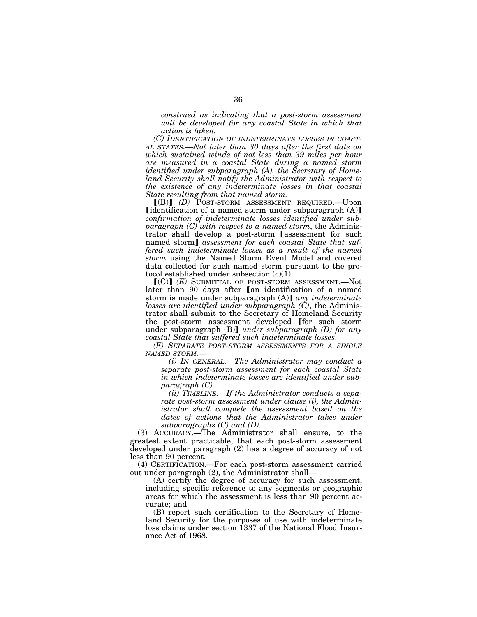*construed as indicating that a post-storm assessment will be developed for any coastal State in which that action is taken.* 

*(C) IDENTIFICATION OF INDETERMINATE LOSSES IN COAST-AL STATES.—Not later than 30 days after the first date on which sustained winds of not less than 39 miles per hour are measured in a coastal State during a named storm identified under subparagraph (A), the Secretary of Homeland Security shall notify the Administrator with respect to the existence of any indeterminate losses in that coastal State resulting from that named storm.* 

ø(B)¿ *(D)* POST-STORM ASSESSMENT REQUIRED.—Upon [identification of a named storm under subparagraph  $(A)$ ] *confirmation of indeterminate losses identified under subparagraph (C) with respect to a named storm*, the Administrator shall develop a post-storm [assessment for such named storm] *assessment for each coastal State that suffered such indeterminate losses as a result of the named storm* using the Named Storm Event Model and covered data collected for such named storm pursuant to the protocol established under subsection  $(c)(1)$ .

 $[(C)]$  *(E)* SUBMITTAL OF POST-STORM ASSESSMENT.—Not later than 90 days after [an identification of a named storm is made under subparagraph (A)] *any indeterminate losses are identified under subparagraph (C)*, the Administrator shall submit to the Secretary of Homeland Security the post-storm assessment developed [for such storm under subparagraph (B)] *under subparagraph* (D) for any *coastal State that suffered such indeterminate losses*.

*(F) SEPARATE POST-STORM ASSESSMENTS FOR A SINGLE NAMED STORM.—* 

*(i) IN GENERAL.—The Administrator may conduct a separate post-storm assessment for each coastal State in which indeterminate losses are identified under subparagraph (C).* 

*(ii) TIMELINE.—If the Administrator conducts a separate post-storm assessment under clause (i), the Administrator shall complete the assessment based on the*  dates of actions that the Administrator takes under *subparagraphs (C) and (D).* 

(3) ACCURACY.—The Administrator shall ensure, to the greatest extent practicable, that each post-storm assessment developed under paragraph (2) has a degree of accuracy of not less than 90 percent.

(4) CERTIFICATION.—For each post-storm assessment carried out under paragraph (2), the Administrator shall—

(A) certify the degree of accuracy for such assessment, including specific reference to any segments or geographic areas for which the assessment is less than 90 percent accurate; and

(B) report such certification to the Secretary of Homeland Security for the purposes of use with indeterminate loss claims under section 1337 of the National Flood Insurance Act of 1968.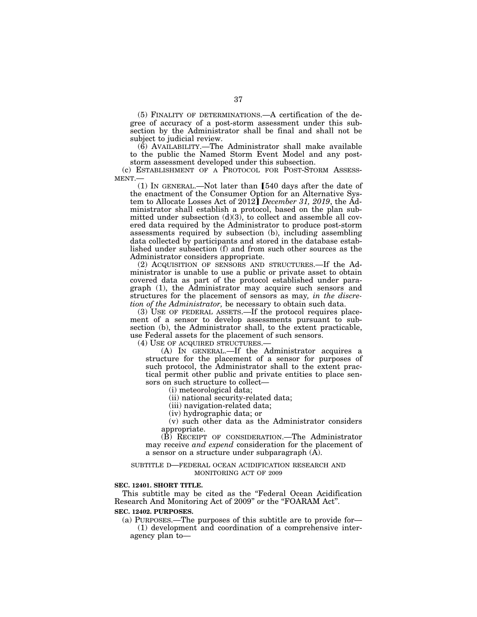(5) FINALITY OF DETERMINATIONS.—A certification of the degree of accuracy of a post-storm assessment under this subsection by the Administrator shall be final and shall not be subject to judicial review.

(6) AVAILABILITY.—The Administrator shall make available to the public the Named Storm Event Model and any poststorm assessment developed under this subsection.

(c) ESTABLISHMENT OF A PROTOCOL FOR POST-STORM ASSESS-MENT.—

 $(1)$  In GENERAL.—Not later than [540 days after the date of the enactment of the Consumer Option for an Alternative Sys-tem to Allocate Losses Act of 2012¿ *December 31, 2019*, the Administrator shall establish a protocol, based on the plan submitted under subsection  $(d)(3)$ , to collect and assemble all covered data required by the Administrator to produce post-storm assessments required by subsection (b), including assembling data collected by participants and stored in the database established under subsection (f) and from such other sources as the Administrator considers appropriate.

(2) ACQUISITION OF SENSORS AND STRUCTURES.—If the Administrator is unable to use a public or private asset to obtain covered data as part of the protocol established under paragraph (1), the Administrator may acquire such sensors and structures for the placement of sensors as may*, in the discretion of the Administrator,* be necessary to obtain such data.

(3) USE OF FEDERAL ASSETS.—If the protocol requires placement of a sensor to develop assessments pursuant to subsection (b), the Administrator shall, to the extent practicable, use Federal assets for the placement of such sensors.

(4) USE OF ACQUIRED STRUCTURES.—

(A) IN GENERAL.—If the Administrator acquires a structure for the placement of a sensor for purposes of such protocol, the Administrator shall to the extent practical permit other public and private entities to place sensors on such structure to collect—

(i) meteorological data;

(ii) national security-related data;

(iii) navigation-related data;

(iv) hydrographic data; or

(v) such other data as the Administrator considers appropriate.

(B) RECEIPT OF CONSIDERATION.—The Administrator may receive *and expend* consideration for the placement of a sensor on a structure under subparagraph (A).

### SUBTITLE D—FEDERAL OCEAN ACIDIFICATION RESEARCH AND MONITORING ACT OF 2009

### **SEC. 12401. SHORT TITLE.**

This subtitle may be cited as the "Federal Ocean Acidification Research And Monitoring Act of 2009" or the "FOARAM Act".

### **SEC. 12402. PURPOSES.**

(a) PURPOSES.—The purposes of this subtitle are to provide for— (1) development and coordination of a comprehensive interagency plan to—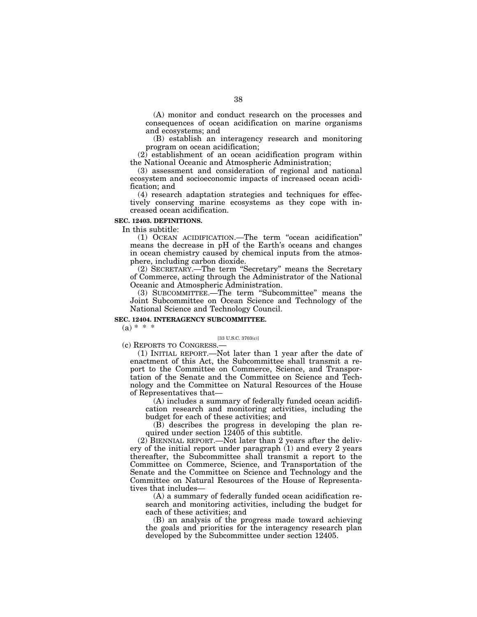(A) monitor and conduct research on the processes and consequences of ocean acidification on marine organisms and ecosystems; and

(B) establish an interagency research and monitoring program on ocean acidification;

(2) establishment of an ocean acidification program within the National Oceanic and Atmospheric Administration;

(3) assessment and consideration of regional and national ecosystem and socioeconomic impacts of increased ocean acidification; and

(4) research adaptation strategies and techniques for effectively conserving marine ecosystems as they cope with increased ocean acidification.

## **SEC. 12403. DEFINITIONS.**

In this subtitle:

(1) OCEAN ACIDIFICATION.—The term ''ocean acidification'' means the decrease in pH of the Earth's oceans and changes in ocean chemistry caused by chemical inputs from the atmosphere, including carbon dioxide.

(2) SECRETARY.—The term ''Secretary'' means the Secretary of Commerce, acting through the Administrator of the National Oceanic and Atmospheric Administration.

(3) SUBCOMMITTEE.—The term ''Subcommittee'' means the Joint Subcommittee on Ocean Science and Technology of the National Science and Technology Council.

## **SEC. 12404. INTERAGENCY SUBCOMMITTEE.**

 $(a) * * * *$ 

## [33 U.S.C. 3703(c)]

(c) REPORTS TO CONGRESS.—

(1) INITIAL REPORT.—Not later than 1 year after the date of enactment of this Act, the Subcommittee shall transmit a report to the Committee on Commerce, Science, and Transportation of the Senate and the Committee on Science and Technology and the Committee on Natural Resources of the House of Representatives that—

(A) includes a summary of federally funded ocean acidification research and monitoring activities, including the budget for each of these activities; and

(B) describes the progress in developing the plan required under section 12405 of this subtitle.

(2) BIENNIAL REPORT.—Not later than 2 years after the delivery of the initial report under paragraph (1) and every 2 years thereafter, the Subcommittee shall transmit a report to the Committee on Commerce, Science, and Transportation of the Senate and the Committee on Science and Technology and the Committee on Natural Resources of the House of Representatives that includes—

(A) a summary of federally funded ocean acidification research and monitoring activities, including the budget for each of these activities; and

(B) an analysis of the progress made toward achieving the goals and priorities for the interagency research plan developed by the Subcommittee under section 12405.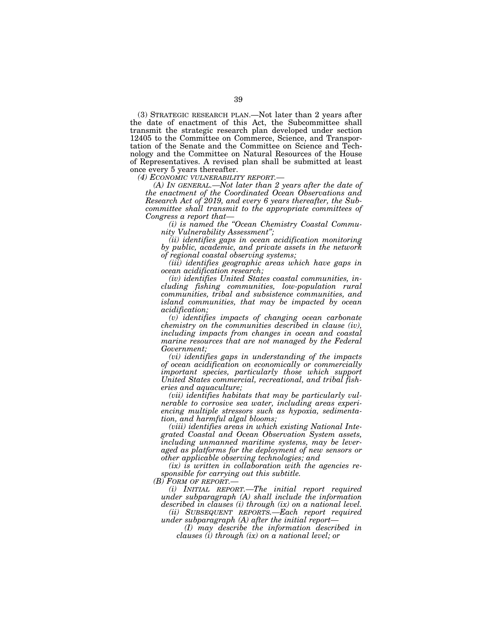(3) STRATEGIC RESEARCH PLAN.—Not later than 2 years after the date of enactment of this Act, the Subcommittee shall transmit the strategic research plan developed under section 12405 to the Committee on Commerce, Science, and Transportation of the Senate and the Committee on Science and Technology and the Committee on Natural Resources of the House of Representatives. A revised plan shall be submitted at least once every 5 years thereafter.<br>(4) *ECONOMIC VULNERABILITY REPORT*.—

*(A) IN GENERAL.—Not later than 2 years after the date of the enactment of the Coordinated Ocean Observations and Research Act of 2019, and every 6 years thereafter, the Subcommittee shall transmit to the appropriate committees of Congress a report that—* 

*(i) is named the ''Ocean Chemistry Coastal Community Vulnerability Assessment'';* 

*(ii) identifies gaps in ocean acidification monitoring by public, academic, and private assets in the network of regional coastal observing systems;* 

*(iii) identifies geographic areas which have gaps in ocean acidification research;* 

*(iv) identifies United States coastal communities, including fishing communities, low-population rural communities, tribal and subsistence communities, and island communities, that may be impacted by ocean acidification;* 

*(v) identifies impacts of changing ocean carbonate chemistry on the communities described in clause (iv), including impacts from changes in ocean and coastal marine resources that are not managed by the Federal Government;* 

*(vi) identifies gaps in understanding of the impacts of ocean acidification on economically or commercially important species, particularly those which support United States commercial, recreational, and tribal fisheries and aquaculture;* 

*(vii) identifies habitats that may be particularly vulnerable to corrosive sea water, including areas experiencing multiple stressors such as hypoxia, sedimentation, and harmful algal blooms;* 

*(viii) identifies areas in which existing National Integrated Coastal and Ocean Observation System assets, including unmanned maritime systems, may be leveraged as platforms for the deployment of new sensors or other applicable observing technologies; and* 

*(ix) is written in collaboration with the agencies responsible for carrying out this subtitle. (B) FORM OF REPORT.—* 

*(i) INITIAL REPORT.—The initial report required under subparagraph (A) shall include the information described in clauses (i) through (ix) on a national level.* 

*(ii) SUBSEQUENT REPORTS.—Each report required under subparagraph (A) after the initial report—* 

*(I) may describe the information described in clauses (i) through (ix) on a national level; or*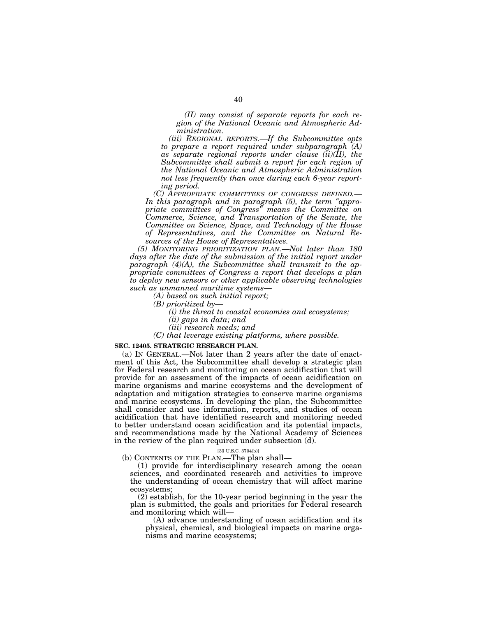*(II) may consist of separate reports for each region of the National Oceanic and Atmospheric Administration.* 

*(iii) REGIONAL REPORTS.—If the Subcommittee opts to prepare a report required under subparagraph (A) as separate regional reports under clause (ii)(II), the Subcommittee shall submit a report for each region of the National Oceanic and Atmospheric Administration not less frequently than once during each 6-year reporting period.* 

*(C) APPROPRIATE COMMITTEES OF CONGRESS DEFINED.— In this paragraph and in paragraph (5), the term ''appropriate committees of Congress'' means the Committee on Commerce, Science, and Transportation of the Senate, the Committee on Science, Space, and Technology of the House of Representatives, and the Committee on Natural Resources of the House of Representatives.* 

*(5) MONITORING PRIORITIZATION PLAN.—Not later than 180*  days after the date of the submission of the initial report under *paragraph (4)(A), the Subcommittee shall transmit to the appropriate committees of Congress a report that develops a plan to deploy new sensors or other applicable observing technologies such as unmanned maritime systems—* 

- *(A) based on such initial report;*
- *(B) prioritized by—* 
	- *(i) the threat to coastal economies and ecosystems; (ii) gaps in data; and*
	- *(iii) research needs; and*
- *(C) that leverage existing platforms, where possible.*

## **SEC. 12405. STRATEGIC RESEARCH PLAN.**

(a) IN GENERAL.—Not later than 2 years after the date of enactment of this Act, the Subcommittee shall develop a strategic plan for Federal research and monitoring on ocean acidification that will provide for an assessment of the impacts of ocean acidification on marine organisms and marine ecosystems and the development of adaptation and mitigation strategies to conserve marine organisms and marine ecosystems. In developing the plan, the Subcommittee shall consider and use information, reports, and studies of ocean acidification that have identified research and monitoring needed to better understand ocean acidification and its potential impacts, and recommendations made by the National Academy of Sciences in the review of the plan required under subsection (d).

## [33 U.S.C. 3704(b)]

(b) CONTENTS OF THE PLAN.—The plan shall—

(1) provide for interdisciplinary research among the ocean sciences, and coordinated research and activities to improve the understanding of ocean chemistry that will affect marine ecosystems;

(2) establish, for the 10-year period beginning in the year the plan is submitted, the goals and priorities for Federal research and monitoring which will—

(A) advance understanding of ocean acidification and its physical, chemical, and biological impacts on marine organisms and marine ecosystems;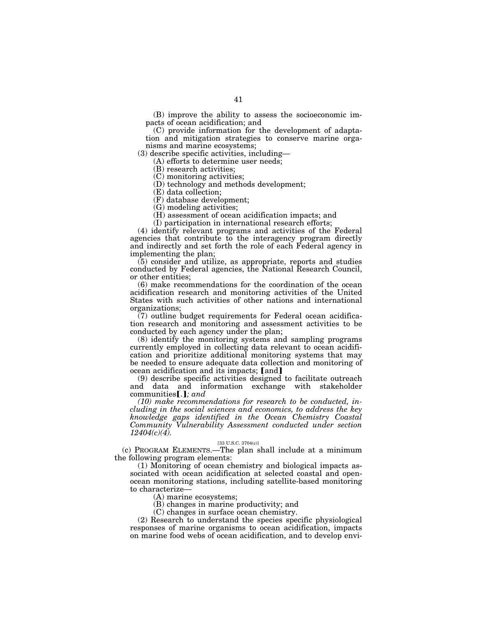(B) improve the ability to assess the socioeconomic impacts of ocean acidification; and

(C) provide information for the development of adaptation and mitigation strategies to conserve marine organisms and marine ecosystems;

(3) describe specific activities, including—

(A) efforts to determine user needs;

(B) research activities;

(C) monitoring activities;

(D) technology and methods development;

(E) data collection;

(F) database development;

(G) modeling activities;

(H) assessment of ocean acidification impacts; and

(I) participation in international research efforts;

(4) identify relevant programs and activities of the Federal agencies that contribute to the interagency program directly and indirectly and set forth the role of each Federal agency in implementing the plan;

(5) consider and utilize, as appropriate, reports and studies conducted by Federal agencies, the National Research Council, or other entities;

(6) make recommendations for the coordination of the ocean acidification research and monitoring activities of the United States with such activities of other nations and international organizations;

 $(7)$  outline budget requirements for Federal ocean acidification research and monitoring and assessment activities to be conducted by each agency under the plan;

(8) identify the monitoring systems and sampling programs currently employed in collecting data relevant to ocean acidification and prioritize additional monitoring systems that may be needed to ensure adequate data collection and monitoring of ocean acidification and its impacts; [and]

(9) describe specific activities designed to facilitate outreach and data and information exchange with stakeholder communities [.]; and

*(10) make recommendations for research to be conducted, including in the social sciences and economics, to address the key knowledge gaps identified in the Ocean Chemistry Coastal Community Vulnerability Assessment conducted under section 12404(c)(4).* 

## [33 U.S.C. 3704(c)]

(c) PROGRAM ELEMENTS.—The plan shall include at a minimum the following program elements:

(1) Monitoring of ocean chemistry and biological impacts associated with ocean acidification at selected coastal and openocean monitoring stations, including satellite-based monitoring to characterize—

(A) marine ecosystems;

(B) changes in marine productivity; and

(C) changes in surface ocean chemistry.

(2) Research to understand the species specific physiological responses of marine organisms to ocean acidification, impacts on marine food webs of ocean acidification, and to develop envi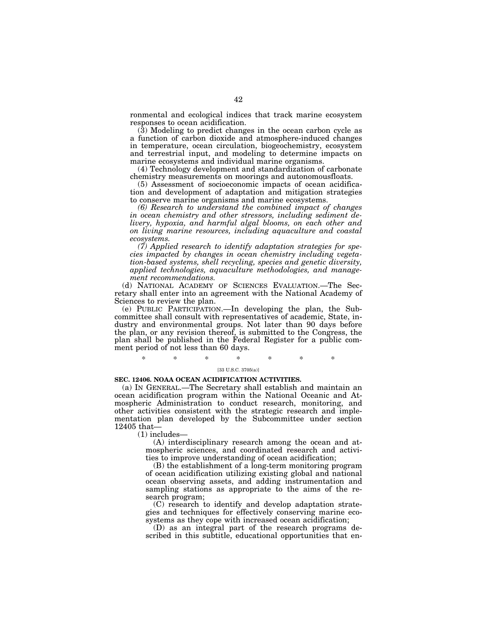ronmental and ecological indices that track marine ecosystem responses to ocean acidification.

(3) Modeling to predict changes in the ocean carbon cycle as a function of carbon dioxide and atmosphere-induced changes in temperature, ocean circulation, biogeochemistry, ecosystem and terrestrial input, and modeling to determine impacts on marine ecosystems and individual marine organisms.

(4) Technology development and standardization of carbonate chemistry measurements on moorings and autonomousfloats.

(5) Assessment of socioeconomic impacts of ocean acidification and development of adaptation and mitigation strategies to conserve marine organisms and marine ecosystems.

*(6) Research to understand the combined impact of changes in ocean chemistry and other stressors, including sediment delivery, hypoxia, and harmful algal blooms, on each other and on living marine resources, including aquaculture and coastal ecosystems.* 

*(7) Applied research to identify adaptation strategies for species impacted by changes in ocean chemistry including vegetation-based systems, shell recycling, species and genetic diversity, applied technologies, aquaculture methodologies, and management recommendations.* 

(d) NATIONAL ACADEMY OF SCIENCES EVALUATION.—The Secretary shall enter into an agreement with the National Academy of Sciences to review the plan.

(e) PUBLIC PARTICIPATION.—In developing the plan, the Subcommittee shall consult with representatives of academic, State, industry and environmental groups. Not later than 90 days before the plan, or any revision thereof, is submitted to the Congress, the plan shall be published in the Federal Register for a public comment period of not less than 60 days.

\* \* \* \* \* \* \*

#### [33 U.S.C. 3705(a)]

## **SEC. 12406. NOAA OCEAN ACIDIFICATION ACTIVITIES.**

(a) IN GENERAL.—The Secretary shall establish and maintain an ocean acidification program within the National Oceanic and Atmospheric Administration to conduct research, monitoring, and other activities consistent with the strategic research and implementation plan developed by the Subcommittee under section 12405 that—

(1) includes—

(A) interdisciplinary research among the ocean and atmospheric sciences, and coordinated research and activities to improve understanding of ocean acidification;

(B) the establishment of a long-term monitoring program of ocean acidification utilizing existing global and national ocean observing assets, and adding instrumentation and sampling stations as appropriate to the aims of the research program;

(C) research to identify and develop adaptation strategies and techniques for effectively conserving marine ecosystems as they cope with increased ocean acidification;

(D) as an integral part of the research programs described in this subtitle, educational opportunities that en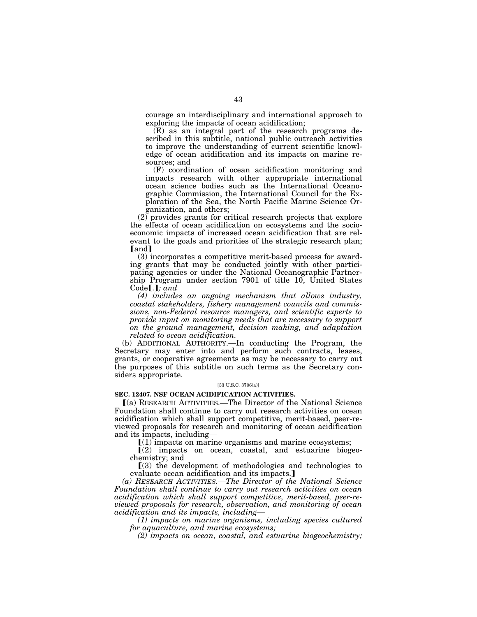courage an interdisciplinary and international approach to exploring the impacts of ocean acidification;

(E) as an integral part of the research programs described in this subtitle, national public outreach activities to improve the understanding of current scientific knowledge of ocean acidification and its impacts on marine resources; and

(F) coordination of ocean acidification monitoring and impacts research with other appropriate international ocean science bodies such as the International Oceanographic Commission, the International Council for the Exploration of the Sea, the North Pacific Marine Science Organization, and others;

(2) provides grants for critical research projects that explore the effects of ocean acidification on ecosystems and the socioeconomic impacts of increased ocean acidification that are relevant to the goals and priorities of the strategic research plan; **[and]** 

(3) incorporates a competitive merit-based process for awarding grants that may be conducted jointly with other participating agencies or under the National Oceanographic Partnership Program under section 7901 of title 10, United States  $Code$ **[.]**; and

*(4) includes an ongoing mechanism that allows industry, coastal stakeholders, fishery management councils and commissions, non-Federal resource managers, and scientific experts to provide input on monitoring needs that are necessary to support on the ground management, decision making, and adaptation related to ocean acidification.* 

(b) ADDITIONAL AUTHORITY.—In conducting the Program, the Secretary may enter into and perform such contracts, leases, grants, or cooperative agreements as may be necessary to carry out the purposes of this subtitle on such terms as the Secretary considers appropriate.

### [33 U.S.C. 3706(a)]

## **SEC. 12407. NSF OCEAN ACIDIFICATION ACTIVITIES.**

ø(a) RESEARCH ACTIVITIES.—The Director of the National Science Foundation shall continue to carry out research activities on ocean acidification which shall support competitive, merit-based, peer-reviewed proposals for research and monitoring of ocean acidification and its impacts, including—

 $\lfloor (1) \rfloor$  impacts on marine organisms and marine ecosystems;

 $(2)$  impacts on ocean, coastal, and estuarine biogeochemistry; and

 $(3)$  the development of methodologies and technologies to evaluate ocean acidification and its impacts.]

*(a) RESEARCH ACTIVITIES.—The Director of the National Science Foundation shall continue to carry out research activities on ocean acidification which shall support competitive, merit-based, peer-reviewed proposals for research, observation, and monitoring of ocean acidification and its impacts, including—* 

*(1) impacts on marine organisms, including species cultured for aquaculture, and marine ecosystems;* 

*(2) impacts on ocean, coastal, and estuarine biogeochemistry;*